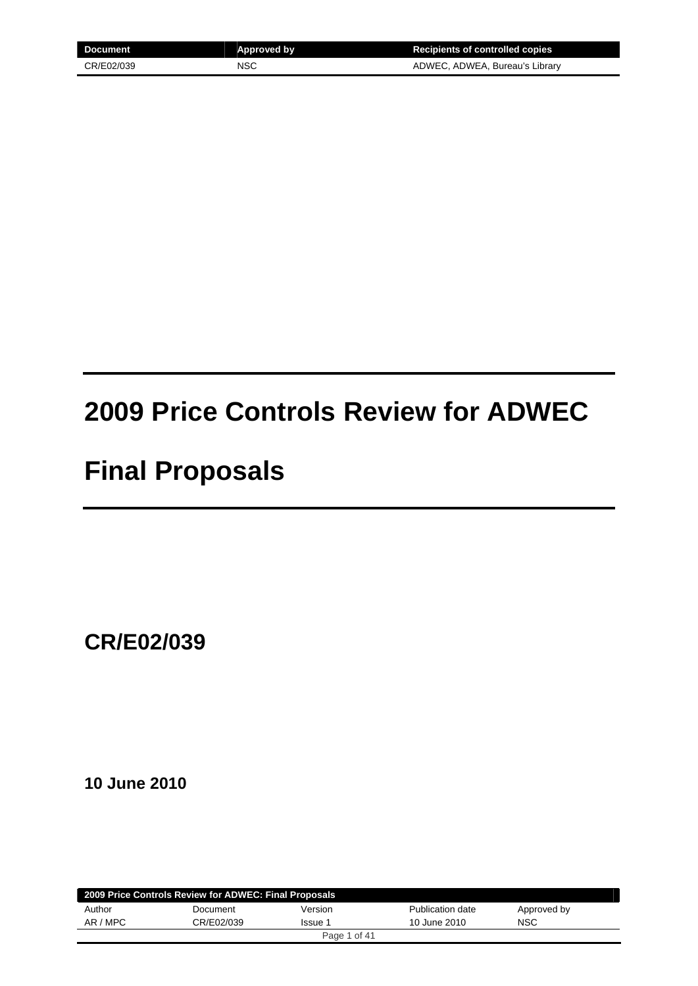| Document   | <b>Approved by</b> | <b>Recipients of controlled copies</b> |
|------------|--------------------|----------------------------------------|
| CR/E02/039 | NSC                | ADWEC, ADWEA, Bureau's Library         |

# **2009 Price Controls Review for ADWEC**

# **Final Proposals**

**CR/E02/039** 

**10 June 2010** 

| 2009 Price Controls Review for ADWEC: Final Proposals |            |              |                  |             |  |
|-------------------------------------------------------|------------|--------------|------------------|-------------|--|
| Author                                                | Document   | Version      | Publication date | Approved by |  |
| AR / MPC                                              | CR/E02/039 | Issue 1      | 10 June 2010     | <b>NSC</b>  |  |
|                                                       |            | Page 1 of 41 |                  |             |  |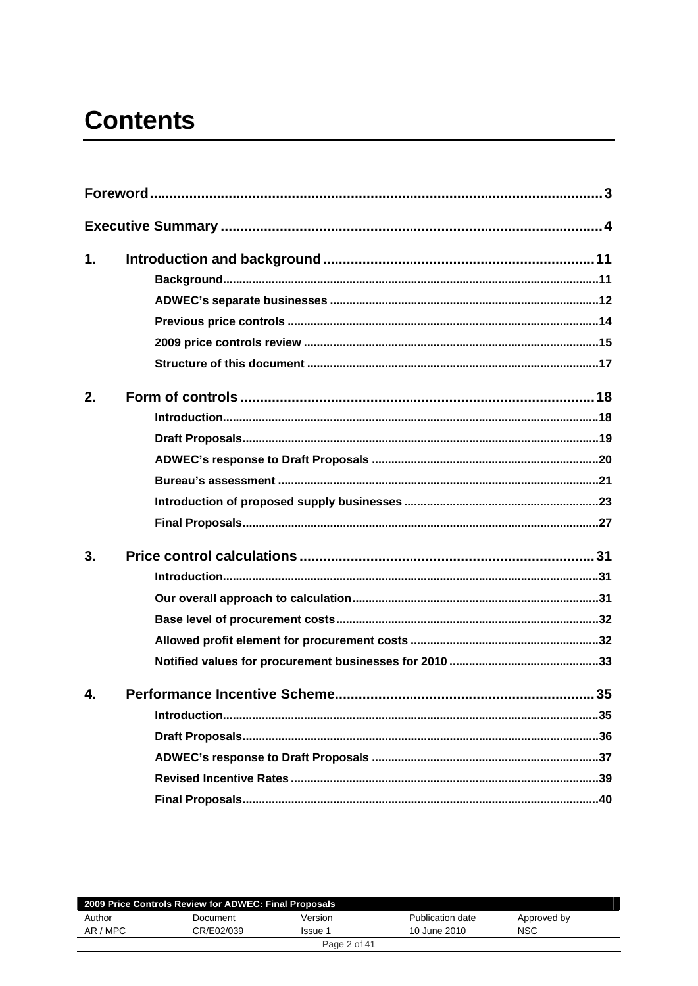# **Contents**

| 1.               |  |
|------------------|--|
|                  |  |
|                  |  |
|                  |  |
|                  |  |
|                  |  |
| 2.               |  |
|                  |  |
|                  |  |
|                  |  |
|                  |  |
|                  |  |
|                  |  |
| 3.               |  |
|                  |  |
|                  |  |
|                  |  |
|                  |  |
|                  |  |
| $\mathbf{A}_{-}$ |  |
|                  |  |
|                  |  |
|                  |  |
|                  |  |
|                  |  |
|                  |  |

| 2009 Price Controls Review for ADWEC: Final Proposals |            |              |                  |             |
|-------------------------------------------------------|------------|--------------|------------------|-------------|
| Author                                                | Document   | Version      | Publication date | Approved by |
| AR / MPC                                              | CR/E02/039 | Issue 1      | 10 June 2010     | <b>NSC</b>  |
|                                                       |            | Page 2 of 41 |                  |             |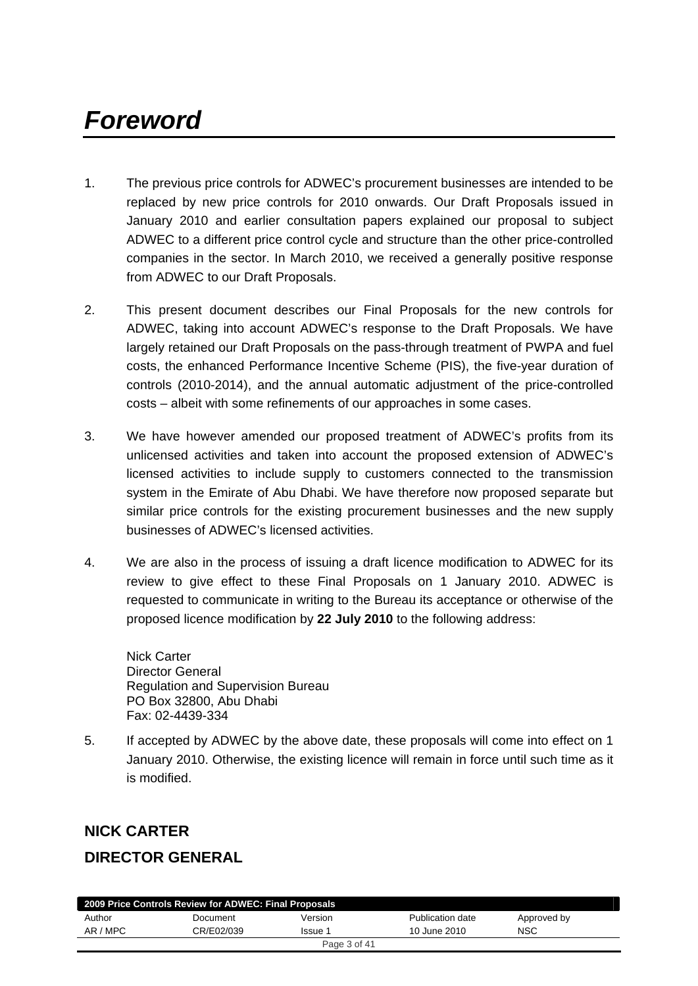# <span id="page-2-0"></span>*Foreword*

- 1. The previous price controls for ADWEC's procurement businesses are intended to be replaced by new price controls for 2010 onwards. Our Draft Proposals issued in January 2010 and earlier consultation papers explained our proposal to subject ADWEC to a different price control cycle and structure than the other price-controlled companies in the sector. In March 2010, we received a generally positive response from ADWEC to our Draft Proposals.
- 2. This present document describes our Final Proposals for the new controls for ADWEC, taking into account ADWEC's response to the Draft Proposals. We have largely retained our Draft Proposals on the pass-through treatment of PWPA and fuel costs, the enhanced Performance Incentive Scheme (PIS), the five-year duration of controls (2010-2014), and the annual automatic adjustment of the price-controlled costs – albeit with some refinements of our approaches in some cases.
- 3. We have however amended our proposed treatment of ADWEC's profits from its unlicensed activities and taken into account the proposed extension of ADWEC's licensed activities to include supply to customers connected to the transmission system in the Emirate of Abu Dhabi. We have therefore now proposed separate but similar price controls for the existing procurement businesses and the new supply businesses of ADWEC's licensed activities.
- 4. We are also in the process of issuing a draft licence modification to ADWEC for its review to give effect to these Final Proposals on 1 January 2010. ADWEC is requested to communicate in writing to the Bureau its acceptance or otherwise of the proposed licence modification by **22 July 2010** to the following address:

Nick Carter Director General Regulation and Supervision Bureau PO Box 32800, Abu Dhabi Fax: 02-4439-334

5. If accepted by ADWEC by the above date, these proposals will come into effect on 1 January 2010. Otherwise, the existing licence will remain in force until such time as it is modified.

# **NICK CARTER**

# **DIRECTOR GENERAL**

| 2009 Price Controls Review for ADWEC: Final Proposals |            |         |                  |             |
|-------------------------------------------------------|------------|---------|------------------|-------------|
| Author                                                | Document   | Version | Publication date | Approved by |
| AR / MPC                                              | CR/E02/039 | Issue 1 | 10 June 2010     | <b>NSC</b>  |
| Page 3 of 41                                          |            |         |                  |             |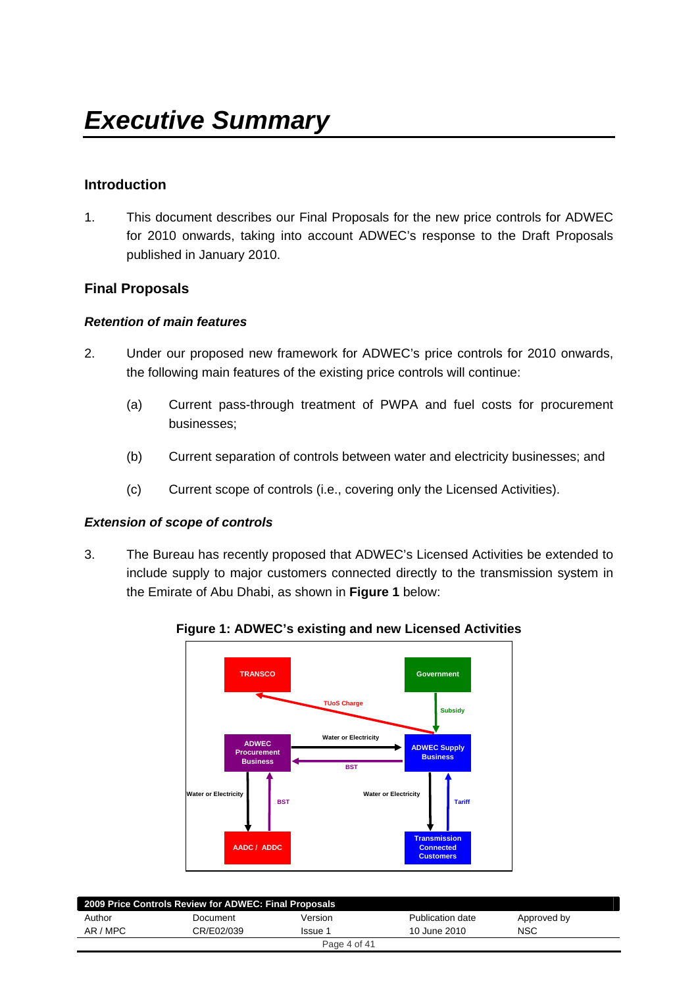## <span id="page-3-0"></span>**Introduction**

1. This document describes our Final Proposals for the new price controls for ADWEC for 2010 onwards, taking into account ADWEC's response to the Draft Proposals published in January 2010.

## **Final Proposals**

#### *Retention of main features*

- 2. Under our proposed new framework for ADWEC's price controls for 2010 onwards, the following main features of the existing price controls will continue:
	- (a) Current pass-through treatment of PWPA and fuel costs for procurement businesses;
	- (b) Current separation of controls between water and electricity businesses; and
	- (c) Current scope of controls (i.e., covering only the Licensed Activities).

#### *Extension of scope of controls*

3. The Bureau has recently proposed that ADWEC's Licensed Activities be extended to include supply to major customers connected directly to the transmission system in the Emirate of Abu Dhabi, as shown in **Figure 1** below:



#### **Figure 1: ADWEC's existing and new Licensed Activities**

| 2009 Price Controls Review for ADWEC: Final Proposals |            |              |                  |             |  |
|-------------------------------------------------------|------------|--------------|------------------|-------------|--|
| Author                                                | Document   | Version      | Publication date | Approved by |  |
| AR / MPC                                              | CR/E02/039 | Issue 1      | 10 June 2010     | <b>NSC</b>  |  |
|                                                       |            | Page 4 of 41 |                  |             |  |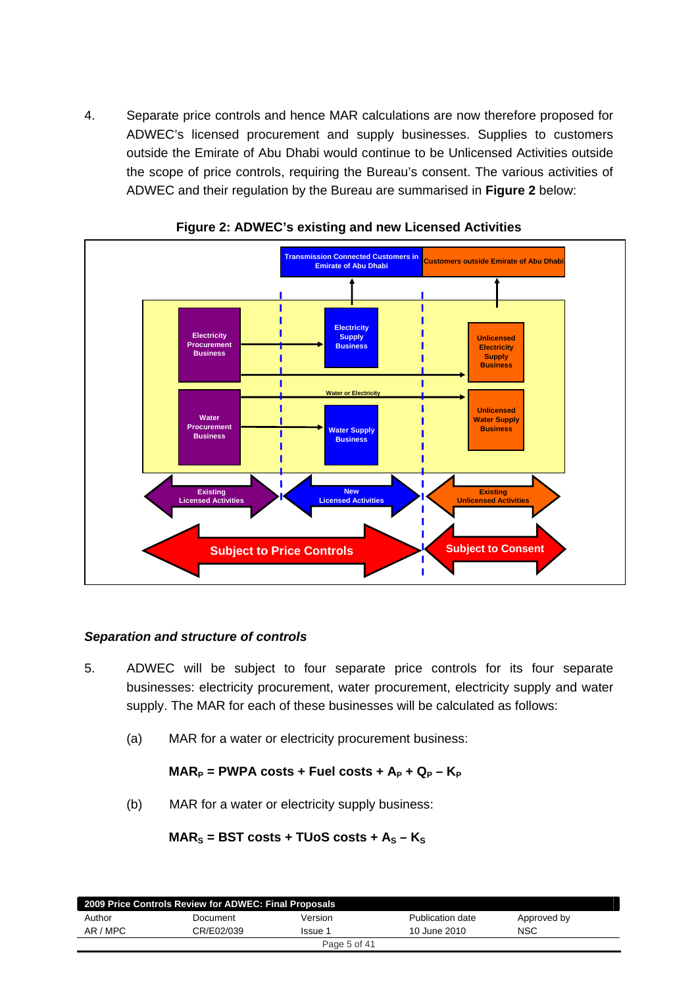4. Separate price controls and hence MAR calculations are now therefore proposed for ADWEC's licensed procurement and supply businesses. Supplies to customers outside the Emirate of Abu Dhabi would continue to be Unlicensed Activities outside the scope of price controls, requiring the Bureau's consent. The various activities of ADWEC and their regulation by the Bureau are summarised in **Figure 2** below:





## *Separation and structure of controls*

- 5. ADWEC will be subject to four separate price controls for its four separate businesses: electricity procurement, water procurement, electricity supply and water supply. The MAR for each of these businesses will be calculated as follows:
	- (a) MAR for a water or electricity procurement business:

## $MAR_P$  = PWPA costs + Fuel costs +  $A_P$  +  $Q_P$  –  $K_P$

(b) MAR for a water or electricity supply business:

## $MAR<sub>S</sub>$  = BST costs + TUoS costs +  $A<sub>S</sub>$  –  $K<sub>S</sub>$

| 2009 Price Controls Review for ADWEC: Final Proposals |            |              |                  |             |  |
|-------------------------------------------------------|------------|--------------|------------------|-------------|--|
| Author                                                | Document   | Version      | Publication date | Approved by |  |
| AR / MPC                                              | CR/E02/039 | Issue 1      | 10 June 2010     | <b>NSC</b>  |  |
|                                                       |            | Page 5 of 41 |                  |             |  |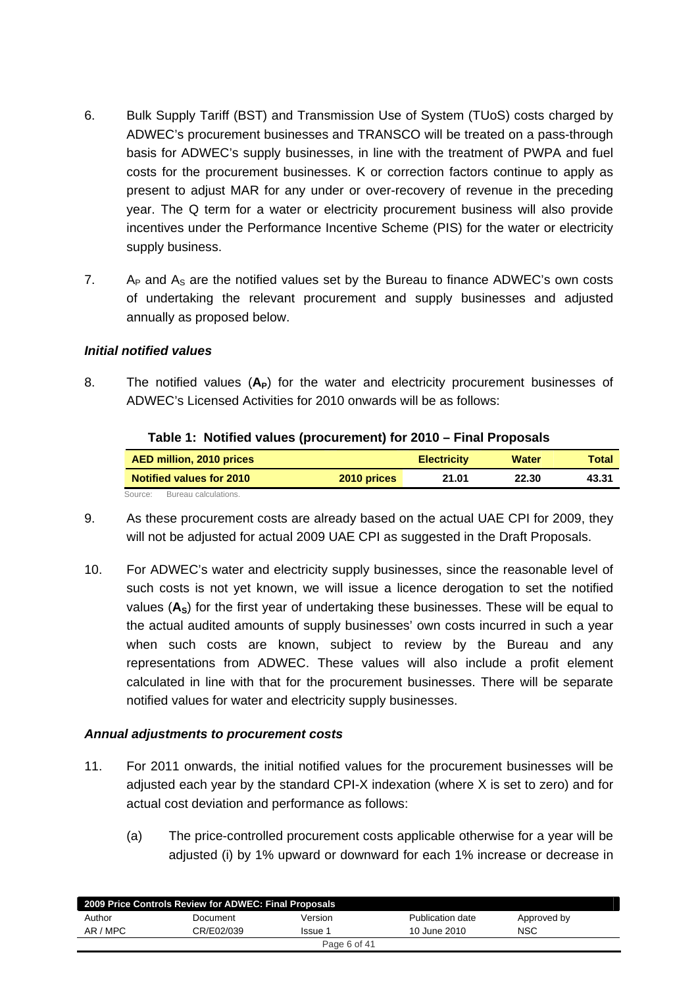- 6. Bulk Supply Tariff (BST) and Transmission Use of System (TUoS) costs charged by ADWEC's procurement businesses and TRANSCO will be treated on a pass-through basis for ADWEC's supply businesses, in line with the treatment of PWPA and fuel costs for the procurement businesses. K or correction factors continue to apply as present to adjust MAR for any under or over-recovery of revenue in the preceding year. The Q term for a water or electricity procurement business will also provide incentives under the Performance Incentive Scheme (PIS) for the water or electricity supply business.
- 7. A<sub>P</sub> and  $A_S$  are the notified values set by the Bureau to finance ADWEC's own costs of undertaking the relevant procurement and supply businesses and adjusted annually as proposed below.

### *Initial notified values*

8. The notified values (A<sub>P</sub>) for the water and electricity procurement businesses of ADWEC's Licensed Activities for 2010 onwards will be as follows:

| $1800$ $\sigma$ $1.190$ $\sigma$ $1000$ $\sigma$ $1000$ $\sigma$ $1000$ $\sigma$ $1000$ $\sigma$ $1000$ $\sigma$ $1000$ |             |                    |              |       |
|-------------------------------------------------------------------------------------------------------------------------|-------------|--------------------|--------------|-------|
| AED million, 2010 prices                                                                                                |             | <b>Electricity</b> | <b>Water</b> | Total |
| <b>Notified values for 2010</b>                                                                                         | 2010 prices | 21.01              | 22.30        | 43.31 |
| Bureau calculations.<br>Source:                                                                                         |             |                    |              |       |

#### **Table 1: Notified values (procurement) for 2010 – Final Proposals**

- 9. As these procurement costs are already based on the actual UAE CPI for 2009, they will not be adjusted for actual 2009 UAE CPI as suggested in the Draft Proposals.
- 10. For ADWEC's water and electricity supply businesses, since the reasonable level of such costs is not yet known, we will issue a licence derogation to set the notified values (A<sub>S</sub>) for the first year of undertaking these businesses. These will be equal to the actual audited amounts of supply businesses' own costs incurred in such a year when such costs are known, subject to review by the Bureau and any representations from ADWEC. These values will also include a profit element calculated in line with that for the procurement businesses. There will be separate notified values for water and electricity supply businesses.

## *Annual adjustments to procurement costs*

- 11. For 2011 onwards, the initial notified values for the procurement businesses will be adjusted each year by the standard CPI-X indexation (where X is set to zero) and for actual cost deviation and performance as follows:
	- (a) The price-controlled procurement costs applicable otherwise for a year will be adjusted (i) by 1% upward or downward for each 1% increase or decrease in

| 2009 Price Controls Review for ADWEC: Final Proposals |            |              |                  |             |
|-------------------------------------------------------|------------|--------------|------------------|-------------|
| Author                                                | Document   | Version      | Publication date | Approved by |
| AR / MPC                                              | CR/E02/039 | Issue 1      | 10 June 2010     | <b>NSC</b>  |
|                                                       |            | Page 6 of 41 |                  |             |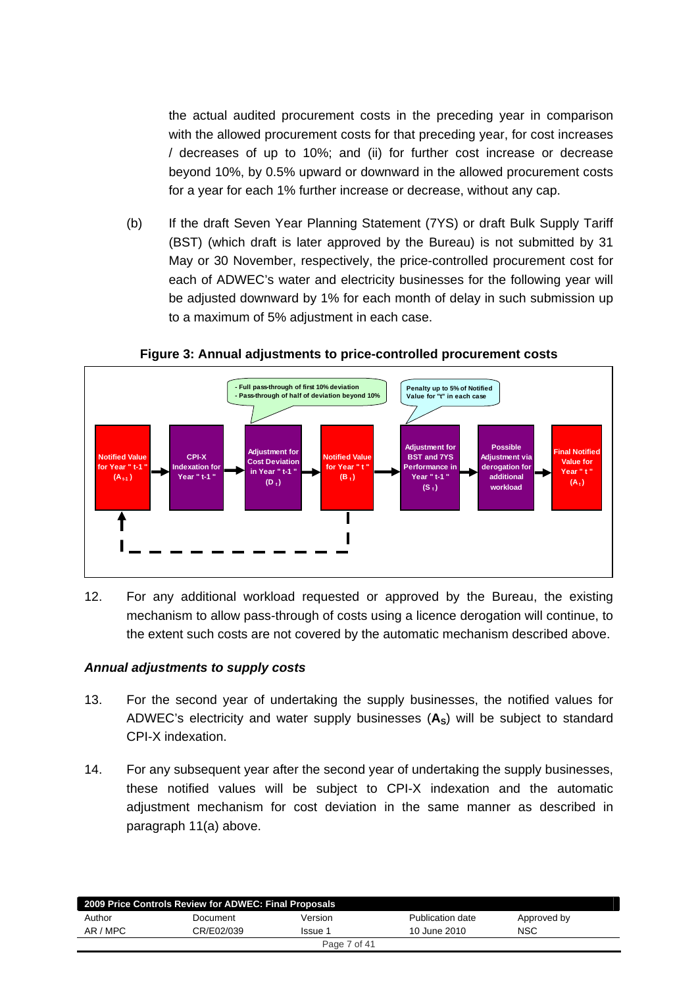the actual audited procurement costs in the preceding year in comparison with the allowed procurement costs for that preceding year, for cost increases / decreases of up to 10%; and (ii) for further cost increase or decrease beyond 10%, by 0.5% upward or downward in the allowed procurement costs for a year for each 1% further increase or decrease, without any cap.

(b) If the draft Seven Year Planning Statement (7YS) or draft Bulk Supply Tariff (BST) (which draft is later approved by the Bureau) is not submitted by 31 May or 30 November, respectively, the price-controlled procurement cost for each of ADWEC's water and electricity businesses for the following year will be adjusted downward by 1% for each month of delay in such submission up to a maximum of 5% adjustment in each case.



#### **Figure 3: Annual adjustments to price-controlled procurement costs**

12. For any additional workload requested or approved by the Bureau, the existing mechanism to allow pass-through of costs using a licence derogation will continue, to the extent such costs are not covered by the automatic mechanism described above.

## *Annual adjustments to supply costs*

- 13. For the second year of undertaking the supply businesses, the notified values for ADWEC's electricity and water supply businesses (A<sub>S</sub>) will be subject to standard CPI-X indexation.
- 14. For any subsequent year after the second year of undertaking the supply businesses, these notified values will be subject to CPI-X indexation and the automatic adjustment mechanism for cost deviation in the same manner as described in paragraph 11(a) above.

| 2009 Price Controls Review for ADWEC: Final Proposals |            |              |                  |             |  |
|-------------------------------------------------------|------------|--------------|------------------|-------------|--|
| Author                                                | Document   | Version      | Publication date | Approved by |  |
| AR / MPC                                              | CR/E02/039 | Issue 1      | 10 June 2010     | <b>NSC</b>  |  |
|                                                       |            | Page 7 of 41 |                  |             |  |
|                                                       |            |              |                  |             |  |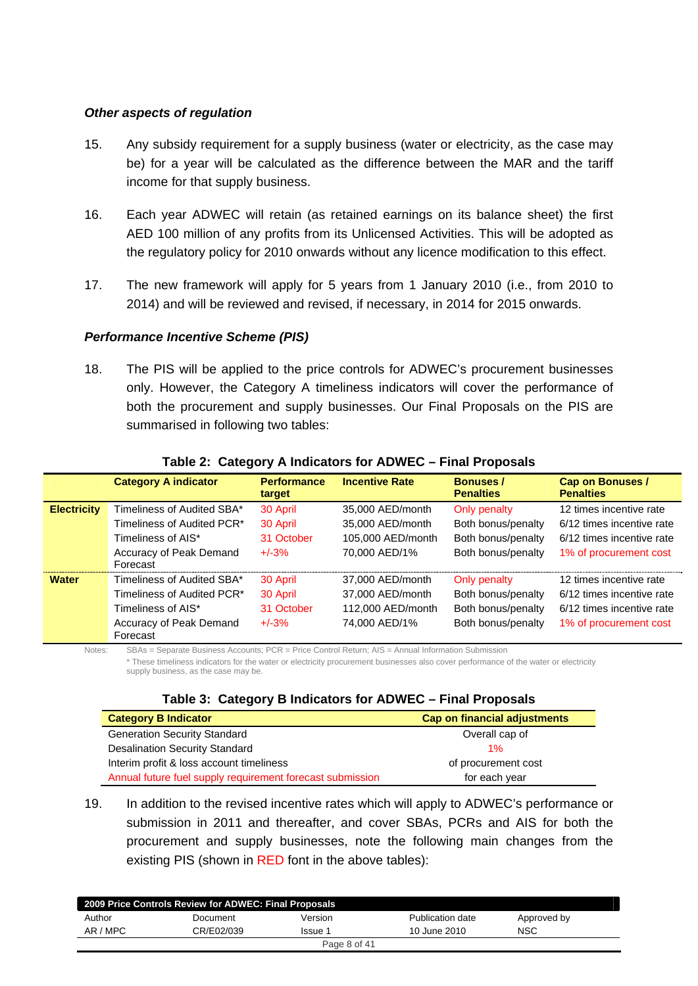#### *Other aspects of regulation*

- 15. Any subsidy requirement for a supply business (water or electricity, as the case may be) for a year will be calculated as the difference between the MAR and the tariff income for that supply business.
- 16. Each year ADWEC will retain (as retained earnings on its balance sheet) the first AED 100 million of any profits from its Unlicensed Activities. This will be adopted as the regulatory policy for 2010 onwards without any licence modification to this effect.
- 17. The new framework will apply for 5 years from 1 January 2010 (i.e., from 2010 to 2014) and will be reviewed and revised, if necessary, in 2014 for 2015 onwards.

#### *Performance Incentive Scheme (PIS)*

18. The PIS will be applied to the price controls for ADWEC's procurement businesses only. However, the Category A timeliness indicators will cover the performance of both the procurement and supply businesses. Our Final Proposals on the PIS are summarised in following two tables:

|                    | <b>Category A indicator</b>         | <b>Performance</b><br>target | <b>Incentive Rate</b> | <b>Bonuses /</b><br><b>Penalties</b> | <b>Cap on Bonuses /</b><br><b>Penalties</b> |
|--------------------|-------------------------------------|------------------------------|-----------------------|--------------------------------------|---------------------------------------------|
| <b>Electricity</b> | Timeliness of Audited SBA*          | 30 April                     | 35,000 AED/month      | Only penalty                         | 12 times incentive rate                     |
|                    | Timeliness of Audited PCR*          | 30 April                     | 35,000 AED/month      | Both bonus/penalty                   | 6/12 times incentive rate                   |
|                    | Timeliness of AIS*                  | 31 October                   | 105,000 AED/month     | Both bonus/penalty                   | 6/12 times incentive rate                   |
|                    | Accuracy of Peak Demand<br>Forecast | $+/-3%$                      | 70,000 AED/1%         | Both bonus/penalty                   | 1% of procurement cost                      |
| <b>Water</b>       | Timeliness of Audited SBA*          | 30 April                     | 37,000 AED/month      | Only penalty                         | 12 times incentive rate                     |
|                    | Timeliness of Audited PCR*          | 30 April                     | 37,000 AED/month      | Both bonus/penalty                   | 6/12 times incentive rate                   |
|                    | Timeliness of AIS*                  | 31 October                   | 112,000 AED/month     | Both bonus/penalty                   | 6/12 times incentive rate                   |
|                    | Accuracy of Peak Demand<br>Forecast | $+/-3%$                      | 74,000 AED/1%         | Both bonus/penalty                   | 1% of procurement cost                      |

#### **Table 2: Category A Indicators for ADWEC – Final Proposals**

Notes: SBAs = Separate Business Accounts; PCR = Price Control Return; AIS = Annual Information Submission

\* These timeliness indicators for the water or electricity procurement businesses also cover performance of the water or electricity

supply business, as the case may be.

#### **Table 3: Category B Indicators for ADWEC – Final Proposals**

| <b>Category B Indicator</b>                               | Cap on financial adjustments |
|-----------------------------------------------------------|------------------------------|
| <b>Generation Security Standard</b>                       | Overall cap of               |
| <b>Desalination Security Standard</b>                     | $1\%$                        |
| Interim profit & loss account timeliness                  | of procurement cost          |
| Annual future fuel supply requirement forecast submission | for each year                |

19. In addition to the revised incentive rates which will apply to ADWEC's performance or submission in 2011 and thereafter, and cover SBAs, PCRs and AIS for both the procurement and supply businesses, note the following main changes from the existing PIS (shown in RED font in the above tables):

|          | 2009 Price Controls Review for ADWEC: Final Proposals |              |                  |             |  |
|----------|-------------------------------------------------------|--------------|------------------|-------------|--|
| Author   | Document                                              | Version      | Publication date | Approved by |  |
| AR / MPC | CR/E02/039                                            | lssue 1      | 10 June 2010     | <b>NSC</b>  |  |
|          |                                                       | Page 8 of 41 |                  |             |  |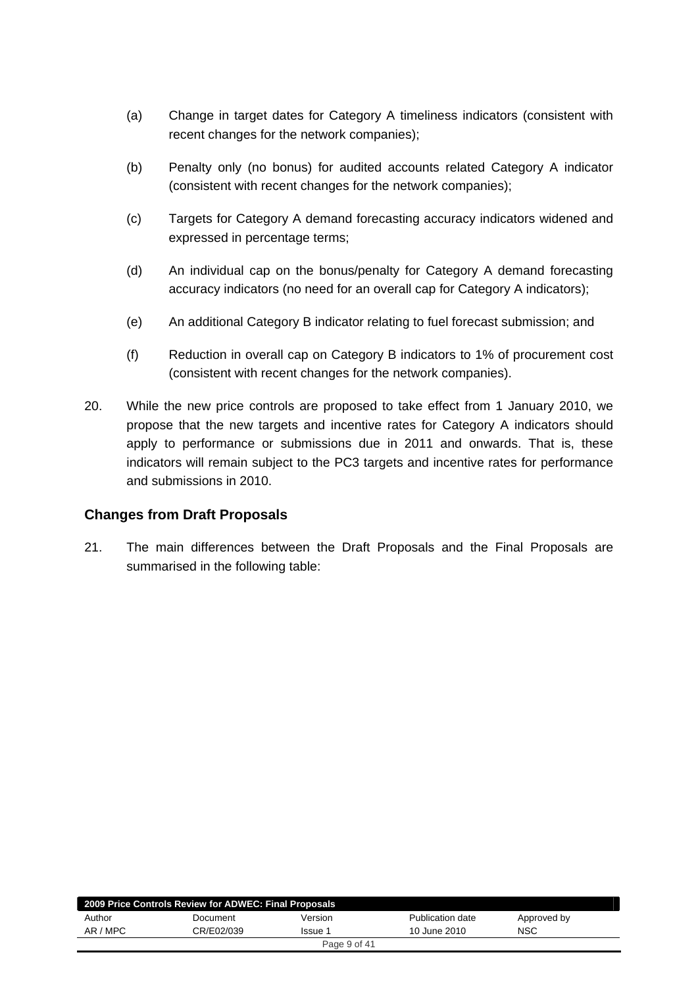- (a) Change in target dates for Category A timeliness indicators (consistent with recent changes for the network companies);
- (b) Penalty only (no bonus) for audited accounts related Category A indicator (consistent with recent changes for the network companies);
- (c) Targets for Category A demand forecasting accuracy indicators widened and expressed in percentage terms;
- (d) An individual cap on the bonus/penalty for Category A demand forecasting accuracy indicators (no need for an overall cap for Category A indicators);
- (e) An additional Category B indicator relating to fuel forecast submission; and
- (f) Reduction in overall cap on Category B indicators to 1% of procurement cost (consistent with recent changes for the network companies).
- 20. While the new price controls are proposed to take effect from 1 January 2010, we propose that the new targets and incentive rates for Category A indicators should apply to performance or submissions due in 2011 and onwards. That is, these indicators will remain subject to the PC3 targets and incentive rates for performance and submissions in 2010.

## **Changes from Draft Proposals**

21. The main differences between the Draft Proposals and the Final Proposals are summarised in the following table:

|          | 2009 Price Controls Review for ADWEC: Final Proposals |                |                  |             |  |
|----------|-------------------------------------------------------|----------------|------------------|-------------|--|
| Author   | Document                                              | Version        | Publication date | Approved by |  |
| AR / MPC | CR/E02/039                                            | <b>Issue 1</b> | 10 June 2010     | <b>NSC</b>  |  |
|          |                                                       | Page 9 of 41   |                  |             |  |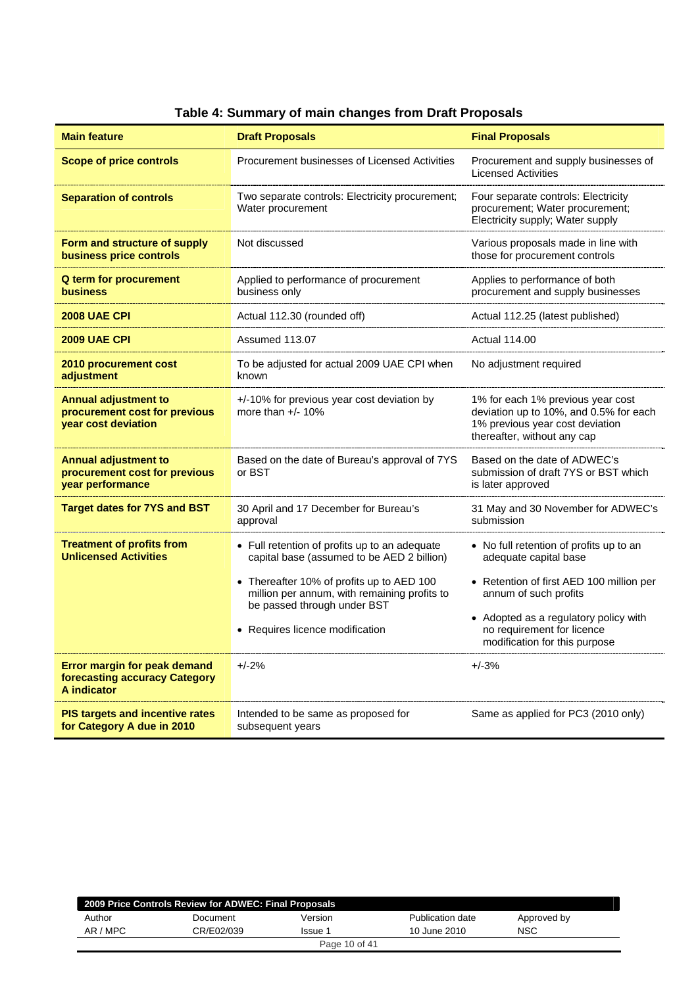| <b>Main feature</b>                                                                 | <b>Draft Proposals</b>                                                                                                                                                                                                                                     | <b>Final Proposals</b>                                                                                                                                                                                                                        |
|-------------------------------------------------------------------------------------|------------------------------------------------------------------------------------------------------------------------------------------------------------------------------------------------------------------------------------------------------------|-----------------------------------------------------------------------------------------------------------------------------------------------------------------------------------------------------------------------------------------------|
| <b>Scope of price controls</b>                                                      | Procurement businesses of Licensed Activities                                                                                                                                                                                                              | Procurement and supply businesses of<br><b>Licensed Activities</b>                                                                                                                                                                            |
| <b>Separation of controls</b>                                                       | Two separate controls: Electricity procurement;<br>Water procurement                                                                                                                                                                                       | Four separate controls: Electricity<br>procurement; Water procurement;<br>Electricity supply; Water supply                                                                                                                                    |
| Form and structure of supply<br>business price controls                             | Not discussed                                                                                                                                                                                                                                              | Various proposals made in line with<br>those for procurement controls                                                                                                                                                                         |
| Q term for procurement<br><b>business</b>                                           | Applied to performance of procurement<br>business only                                                                                                                                                                                                     | Applies to performance of both<br>procurement and supply businesses                                                                                                                                                                           |
| <b>2008 UAE CPI</b>                                                                 | Actual 112.30 (rounded off)                                                                                                                                                                                                                                | Actual 112.25 (latest published)                                                                                                                                                                                                              |
| <b>2009 UAE CPI</b>                                                                 | Assumed 113.07                                                                                                                                                                                                                                             | <b>Actual 114.00</b>                                                                                                                                                                                                                          |
| 2010 procurement cost<br>adjustment                                                 | To be adjusted for actual 2009 UAE CPI when<br>known                                                                                                                                                                                                       | No adjustment required                                                                                                                                                                                                                        |
| <b>Annual adjustment to</b><br>procurement cost for previous<br>year cost deviation | +/-10% for previous year cost deviation by<br>more than $+/- 10\%$                                                                                                                                                                                         | 1% for each 1% previous year cost<br>deviation up to 10%, and 0.5% for each<br>1% previous year cost deviation<br>thereafter, without any cap                                                                                                 |
| <b>Annual adjustment to</b><br>procurement cost for previous<br>year performance    | Based on the date of Bureau's approval of 7YS<br>or BST                                                                                                                                                                                                    | Based on the date of ADWEC's<br>submission of draft 7YS or BST which<br>is later approved                                                                                                                                                     |
| <b>Target dates for 7YS and BST</b>                                                 | 30 April and 17 December for Bureau's<br>approval                                                                                                                                                                                                          | 31 May and 30 November for ADWEC's<br>submission                                                                                                                                                                                              |
| <b>Treatment of profits from</b><br><b>Unlicensed Activities</b>                    | • Full retention of profits up to an adequate<br>capital base (assumed to be AED 2 billion)<br>• Thereafter 10% of profits up to AED 100<br>million per annum, with remaining profits to<br>be passed through under BST<br>• Requires licence modification | • No full retention of profits up to an<br>adequate capital base<br>• Retention of first AED 100 million per<br>annum of such profits<br>• Adopted as a regulatory policy with<br>no requirement for licence<br>modification for this purpose |
| Error margin for peak demand<br>forecasting accuracy Category<br>A indicator        | $+/-2%$                                                                                                                                                                                                                                                    | $+/-3%$                                                                                                                                                                                                                                       |
| <b>PIS targets and incentive rates</b><br>for Category A due in 2010                | Intended to be same as proposed for<br>subsequent years                                                                                                                                                                                                    | Same as applied for PC3 (2010 only)                                                                                                                                                                                                           |

# **Table 4: Summary of main changes from Draft Proposals**

|          | 2009 Price Controls Review for ADWEC: Final Proposals |               |                  |             |  |
|----------|-------------------------------------------------------|---------------|------------------|-------------|--|
| Author   | Document                                              | Version       | Publication date | Approved by |  |
| AR / MPC | CR/E02/039                                            | Issue 1       | 10 June 2010     | NSC         |  |
|          |                                                       | Page 10 of 41 |                  |             |  |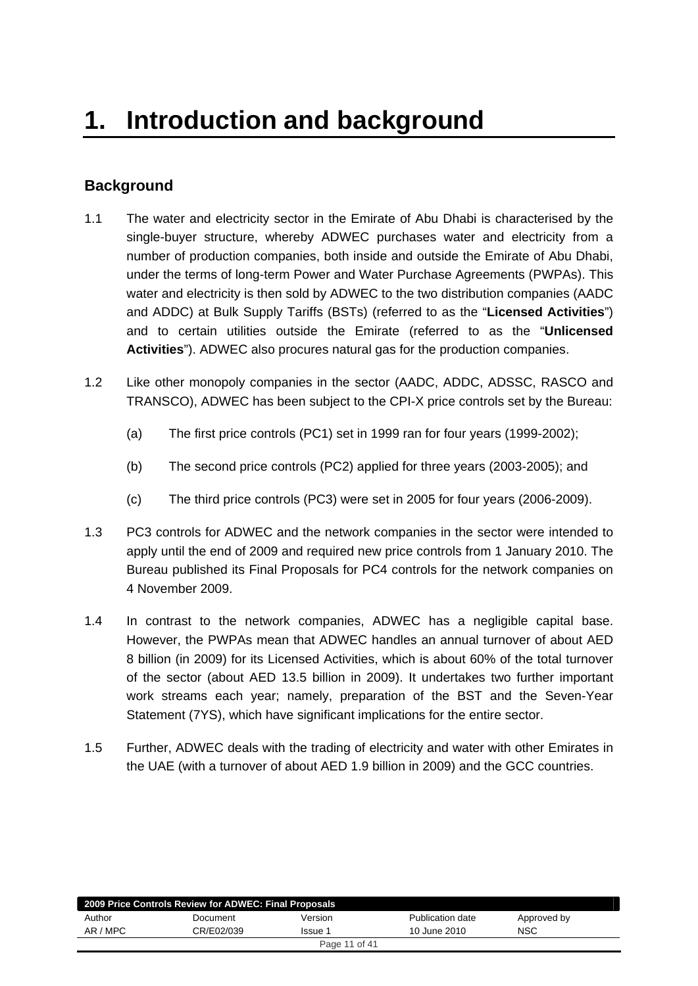# <span id="page-10-0"></span>**Background**

- 1.1 The water and electricity sector in the Emirate of Abu Dhabi is characterised by the single-buyer structure, whereby ADWEC purchases water and electricity from a number of production companies, both inside and outside the Emirate of Abu Dhabi, under the terms of long-term Power and Water Purchase Agreements (PWPAs). This water and electricity is then sold by ADWEC to the two distribution companies (AADC and ADDC) at Bulk Supply Tariffs (BSTs) (referred to as the "**Licensed Activities**") and to certain utilities outside the Emirate (referred to as the "**Unlicensed Activities**"). ADWEC also procures natural gas for the production companies.
- 1.2 Like other monopoly companies in the sector (AADC, ADDC, ADSSC, RASCO and TRANSCO), ADWEC has been subject to the CPI-X price controls set by the Bureau:
	- (a) The first price controls (PC1) set in 1999 ran for four years (1999-2002);
	- (b) The second price controls (PC2) applied for three years (2003-2005); and
	- (c) The third price controls (PC3) were set in 2005 for four years (2006-2009).
- 1.3 PC3 controls for ADWEC and the network companies in the sector were intended to apply until the end of 2009 and required new price controls from 1 January 2010. The Bureau published its Final Proposals for PC4 controls for the network companies on 4 November 2009.
- 1.4 In contrast to the network companies, ADWEC has a negligible capital base. However, the PWPAs mean that ADWEC handles an annual turnover of about AED 8 billion (in 2009) for its Licensed Activities, which is about 60% of the total turnover of the sector (about AED 13.5 billion in 2009). It undertakes two further important work streams each year; namely, preparation of the BST and the Seven-Year Statement (7YS), which have significant implications for the entire sector.
- 1.5 Further, ADWEC deals with the trading of electricity and water with other Emirates in the UAE (with a turnover of about AED 1.9 billion in 2009) and the GCC countries.

| 2009 Price Controls Review for ADWEC: Final Proposals |            |         |                  |             |
|-------------------------------------------------------|------------|---------|------------------|-------------|
| Author                                                | Document   | Version | Publication date | Approved by |
| AR / MPC                                              | CR/E02/039 | Issue 1 | 10 June 2010     | NSC         |
| Page 11 of 41                                         |            |         |                  |             |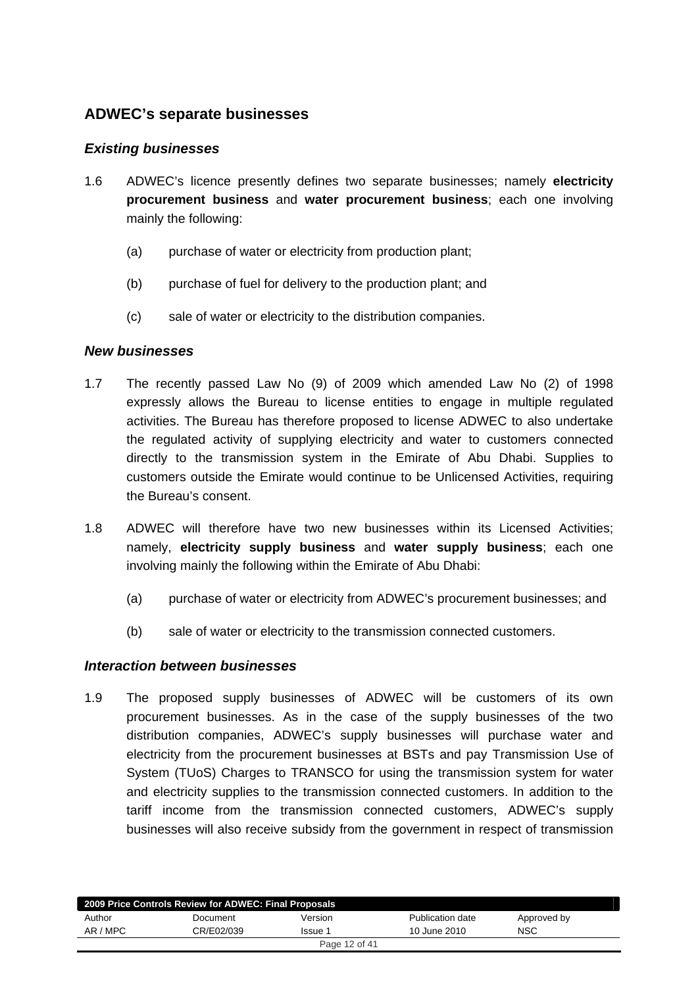# <span id="page-11-0"></span>**ADWEC's separate businesses**

## *Existing businesses*

- 1.6 ADWEC's licence presently defines two separate businesses; namely **electricity procurement business** and **water procurement business**; each one involving mainly the following:
	- (a) purchase of water or electricity from production plant;
	- (b) purchase of fuel for delivery to the production plant; and
	- (c) sale of water or electricity to the distribution companies.

### *New businesses*

- 1.7 The recently passed Law No (9) of 2009 which amended Law No (2) of 1998 expressly allows the Bureau to license entities to engage in multiple regulated activities. The Bureau has therefore proposed to license ADWEC to also undertake the regulated activity of supplying electricity and water to customers connected directly to the transmission system in the Emirate of Abu Dhabi. Supplies to customers outside the Emirate would continue to be Unlicensed Activities, requiring the Bureau's consent.
- 1.8 ADWEC will therefore have two new businesses within its Licensed Activities; namely, **electricity supply business** and **water supply business**; each one involving mainly the following within the Emirate of Abu Dhabi:
	- (a) purchase of water or electricity from ADWEC's procurement businesses; and
	- (b) sale of water or electricity to the transmission connected customers.

#### *Interaction between businesses*

1.9 The proposed supply businesses of ADWEC will be customers of its own procurement businesses. As in the case of the supply businesses of the two distribution companies, ADWEC's supply businesses will purchase water and electricity from the procurement businesses at BSTs and pay Transmission Use of System (TUoS) Charges to TRANSCO for using the transmission system for water and electricity supplies to the transmission connected customers. In addition to the tariff income from the transmission connected customers, ADWEC's supply businesses will also receive subsidy from the government in respect of transmission

|          | 2009 Price Controls Review for ADWEC: Final Proposals |               |                  |             |
|----------|-------------------------------------------------------|---------------|------------------|-------------|
| Author   | Document                                              | Version       | Publication date | Approved by |
| AR / MPC | CR/E02/039                                            | Issue 1       | 10 June 2010     | <b>NSC</b>  |
|          |                                                       | Page 12 of 41 |                  |             |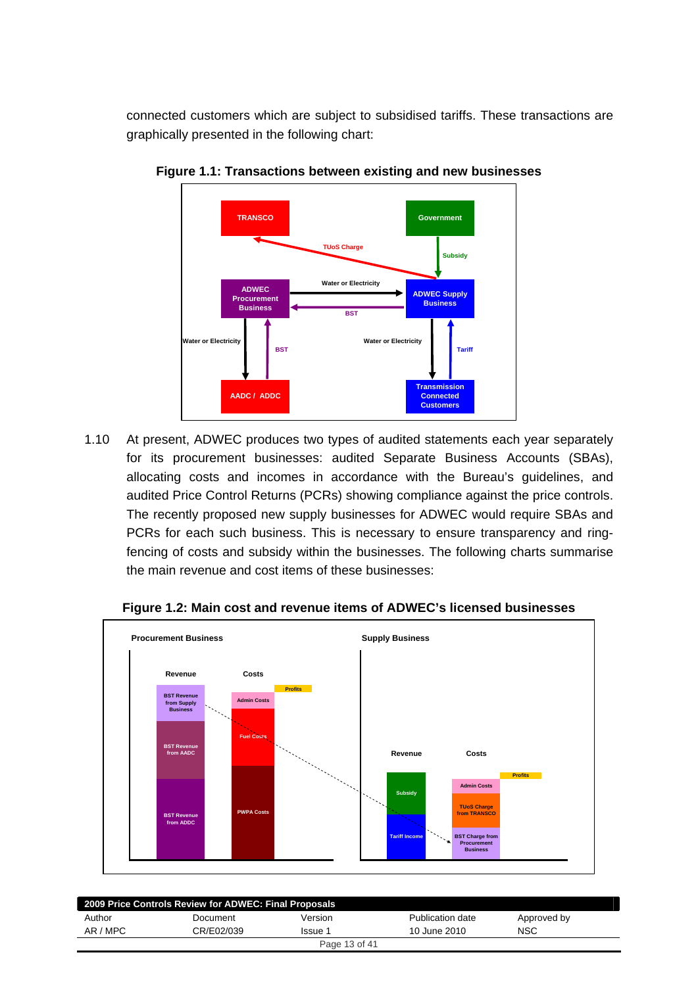connected customers which are subject to subsidised tariffs. These transactions are graphically presented in the following chart:



**Figure 1.1: Transactions between existing and new businesses** 

1.10 At present, ADWEC produces two types of audited statements each year separately for its procurement businesses: audited Separate Business Accounts (SBAs), allocating costs and incomes in accordance with the Bureau's guidelines, and audited Price Control Returns (PCRs) showing compliance against the price controls. The recently proposed new supply businesses for ADWEC would require SBAs and PCRs for each such business. This is necessary to ensure transparency and ringfencing of costs and subsidy within the businesses. The following charts summarise the main revenue and cost items of these businesses:



**Figure 1.2: Main cost and revenue items of ADWEC's licensed businesses** 

| 2009 Price Controls Review for ADWEC: Final Proposals |            |               |                  |             |  |
|-------------------------------------------------------|------------|---------------|------------------|-------------|--|
| Author                                                | Document   | Version       | Publication date | Approved by |  |
| AR / MPC                                              | CR/E02/039 | Issue 1       | 10 June 2010     | <b>NSC</b>  |  |
|                                                       |            | Page 13 of 41 |                  |             |  |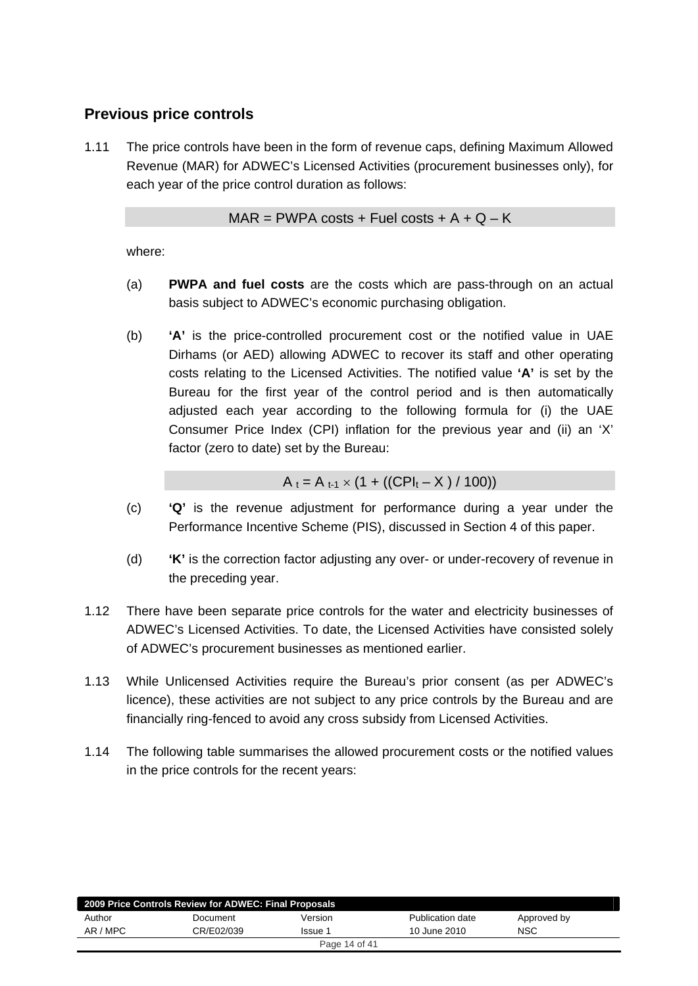# <span id="page-13-0"></span>**Previous price controls**

1.11 The price controls have been in the form of revenue caps, defining Maximum Allowed Revenue (MAR) for ADWEC's Licensed Activities (procurement businesses only), for each year of the price control duration as follows:

 $MAR = PWPA \text{ costs } + \text{Full costs } + A + Q - K$ 

where:

- (a) **PWPA and fuel costs** are the costs which are pass-through on an actual basis subject to ADWEC's economic purchasing obligation.
- (b) **'A'** is the price-controlled procurement cost or the notified value in UAE Dirhams (or AED) allowing ADWEC to recover its staff and other operating costs relating to the Licensed Activities. The notified value **'A'** is set by the Bureau for the first year of the control period and is then automatically adjusted each year according to the following formula for (i) the UAE Consumer Price Index (CPI) inflation for the previous year and (ii) an 'X' factor (zero to date) set by the Bureau:

$$
A_t = A_{t-1} \times (1 + ((CPI_t - X) / 100))
$$

- (c) **'Q'** is the revenue adjustment for performance during a year under the Performance Incentive Scheme (PIS), discussed in Section 4 of this paper.
- (d) **'K'** is the correction factor adjusting any over- or under-recovery of revenue in the preceding year.
- 1.12 There have been separate price controls for the water and electricity businesses of ADWEC's Licensed Activities. To date, the Licensed Activities have consisted solely of ADWEC's procurement businesses as mentioned earlier.
- 1.13 While Unlicensed Activities require the Bureau's prior consent (as per ADWEC's licence), these activities are not subject to any price controls by the Bureau and are financially ring-fenced to avoid any cross subsidy from Licensed Activities.
- 1.14 The following table summarises the allowed procurement costs or the notified values in the price controls for the recent years:

| 2009 Price Controls Review for ADWEC: Final Proposals |            |               |                  |             |  |
|-------------------------------------------------------|------------|---------------|------------------|-------------|--|
| Author                                                | Document   | Version       | Publication date | Approved by |  |
| AR / MPC                                              | CR/E02/039 | Issue 1       | 10 June 2010     | <b>NSC</b>  |  |
|                                                       |            | Page 14 of 41 |                  |             |  |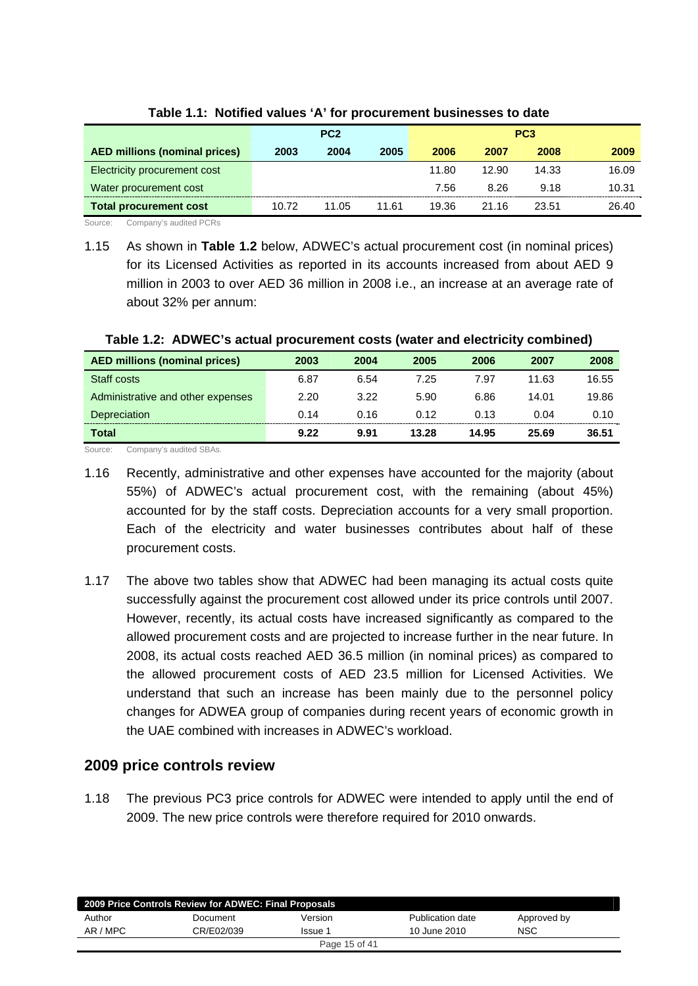<span id="page-14-0"></span>

|                                      |       | PC <sub>2</sub> |       |       |       | PC <sub>3</sub> |       |
|--------------------------------------|-------|-----------------|-------|-------|-------|-----------------|-------|
| <b>AED millions (nominal prices)</b> | 2003  | 2004            | 2005  | 2006  | 2007  | 2008            | 2009  |
| Electricity procurement cost         |       |                 |       | 11.80 | 12.90 | 14.33           | 16.09 |
| Water procurement cost               |       |                 |       | 7.56  | 8.26  | 9.18            | 10.31 |
| <b>Total procurement cost</b>        | 10.72 | 11.05           | 11.61 | 19.36 | 21.16 | 23.51           | 26.40 |

**Table 1.1: Notified values 'A' for procurement businesses to date** 

Source: Company's audited PCRs

1.15 As shown in **Table 1.2** below, ADWEC's actual procurement cost (in nominal prices) for its Licensed Activities as reported in its accounts increased from about AED 9 million in 2003 to over AED 36 million in 2008 i.e., an increase at an average rate of about 32% per annum:

| <b>AED millions (nominal prices)</b> | 2003 | 2004 | 2005  | 2006  | 2007  | 2008  |
|--------------------------------------|------|------|-------|-------|-------|-------|
| Staff costs                          | 6.87 | 6.54 | 7.25  | 7.97  | 11.63 | 16.55 |
| Administrative and other expenses    | 2.20 | 3.22 | 5.90  | 6.86  | 14.01 | 19.86 |
| <b>Depreciation</b>                  | 0.14 | 0.16 | 0.12  | 0.13  | 0.04  | 0.10  |
| Total                                | 9.22 | 9.91 | 13.28 | 14.95 | 25.69 | 36.51 |

#### **Table 1.2: ADWEC's actual procurement costs (water and electricity combined)**

Source: Company's audited SBAs.

1.17 The above two tables show that ADWEC had been managing its actual costs quite successfully against the procurement cost allowed under its price controls until 2007. However, recently, its actual costs have increased significantly as compared to the allowed procurement costs and are projected to increase further in the near future. In 2008, its actual costs reached AED 36.5 million (in nominal prices) as compared to the allowed procurement costs of AED 23.5 million for Licensed Activities. We understand that such an increase has been mainly due to the personnel policy changes for ADWEA group of companies during recent years of economic growth in the UAE combined with increases in ADWEC's workload.

## **2009 price controls review**

1.18 The previous PC3 price controls for ADWEC were intended to apply until the end of 2009. The new price controls were therefore required for 2010 onwards.

|          | 2009 Price Controls Review for ADWEC: Final Proposals |               |                  |             |  |
|----------|-------------------------------------------------------|---------------|------------------|-------------|--|
| Author   | Document                                              | Version       | Publication date | Approved by |  |
| AR / MPC | CR/E02/039                                            | Issue 1       | 10 June 2010     | <b>NSC</b>  |  |
|          |                                                       | Page 15 of 41 |                  |             |  |

<sup>1.16</sup> Recently, administrative and other expenses have accounted for the majority (about 55%) of ADWEC's actual procurement cost, with the remaining (about 45%) accounted for by the staff costs. Depreciation accounts for a very small proportion. Each of the electricity and water businesses contributes about half of these procurement costs.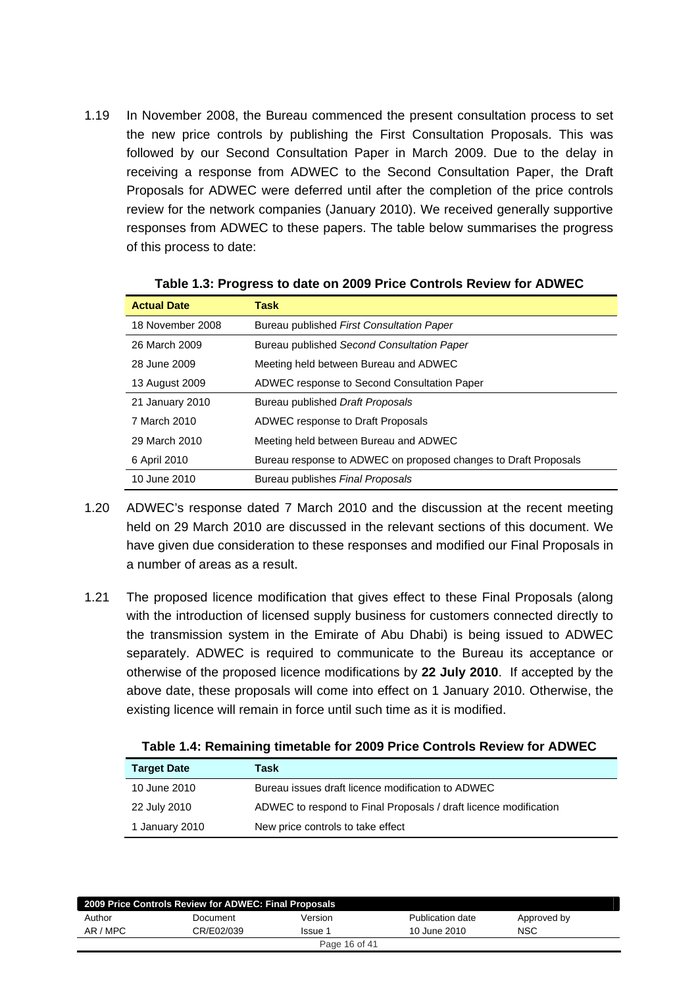1.19 In November 2008, the Bureau commenced the present consultation process to set the new price controls by publishing the First Consultation Proposals. This was followed by our Second Consultation Paper in March 2009. Due to the delay in receiving a response from ADWEC to the Second Consultation Paper, the Draft Proposals for ADWEC were deferred until after the completion of the price controls review for the network companies (January 2010). We received generally supportive responses from ADWEC to these papers. The table below summarises the progress of this process to date:

| <b>Actual Date</b> | Task                                                            |
|--------------------|-----------------------------------------------------------------|
| 18 November 2008   | Bureau published First Consultation Paper                       |
| 26 March 2009      | Bureau published Second Consultation Paper                      |
| 28 June 2009       | Meeting held between Bureau and ADWEC                           |
| 13 August 2009     | ADWEC response to Second Consultation Paper                     |
| 21 January 2010    | Bureau published Draft Proposals                                |
| 7 March 2010       | ADWEC response to Draft Proposals                               |
| 29 March 2010      | Meeting held between Bureau and ADWEC                           |
| 6 April 2010       | Bureau response to ADWEC on proposed changes to Draft Proposals |
| 10 June 2010       | Bureau publishes Final Proposals                                |

**Table 1.3: Progress to date on 2009 Price Controls Review for ADWEC** 

- 1.20 ADWEC's response dated 7 March 2010 and the discussion at the recent meeting held on 29 March 2010 are discussed in the relevant sections of this document. We have given due consideration to these responses and modified our Final Proposals in a number of areas as a result.
- 1.21 The proposed licence modification that gives effect to these Final Proposals (along with the introduction of licensed supply business for customers connected directly to the transmission system in the Emirate of Abu Dhabi) is being issued to ADWEC separately. ADWEC is required to communicate to the Bureau its acceptance or otherwise of the proposed licence modifications by **22 July 2010**. If accepted by the above date, these proposals will come into effect on 1 January 2010. Otherwise, the existing licence will remain in force until such time as it is modified.

| <b>Target Date</b> | Task                                                             |
|--------------------|------------------------------------------------------------------|
| 10 June 2010       | Bureau issues draft licence modification to ADWEC                |
| 22 July 2010       | ADWEC to respond to Final Proposals / draft licence modification |
| 1 January 2010     | New price controls to take effect                                |

**Table 1.4: Remaining timetable for 2009 Price Controls Review for ADWEC** 

| 2009 Price Controls Review for ADWEC: Final Proposals |            |         |                  |             |  |  |  |
|-------------------------------------------------------|------------|---------|------------------|-------------|--|--|--|
| Author                                                | Document   | Version | Publication date | Approved by |  |  |  |
| AR / MPC                                              | CR/E02/039 | Issue 1 | 10 June 2010     | <b>NSC</b>  |  |  |  |
| Page 16 of 41                                         |            |         |                  |             |  |  |  |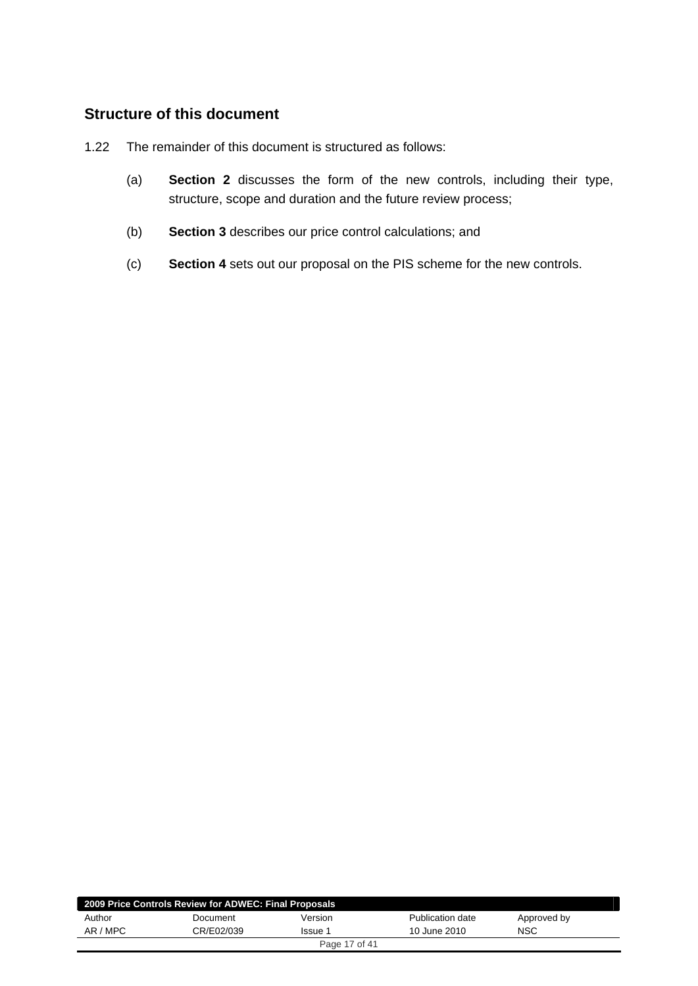# <span id="page-16-0"></span>**Structure of this document**

- 1.22 The remainder of this document is structured as follows:
	- (a) **Section 2** discusses the form of the new controls, including their type, structure, scope and duration and the future review process;
	- (b) **Section 3** describes our price control calculations; and
	- (c) **Section 4** sets out our proposal on the PIS scheme for the new controls.

| 2009 Price Controls Review for ADWEC: Final Proposals |            |               |                  |             |  |  |
|-------------------------------------------------------|------------|---------------|------------------|-------------|--|--|
| Author                                                | Document   | Version       | Publication date | Approved by |  |  |
| AR / MPC                                              | CR/E02/039 | Issue 1       | 10 June 2010     | <b>NSC</b>  |  |  |
|                                                       |            | Page 17 of 41 |                  |             |  |  |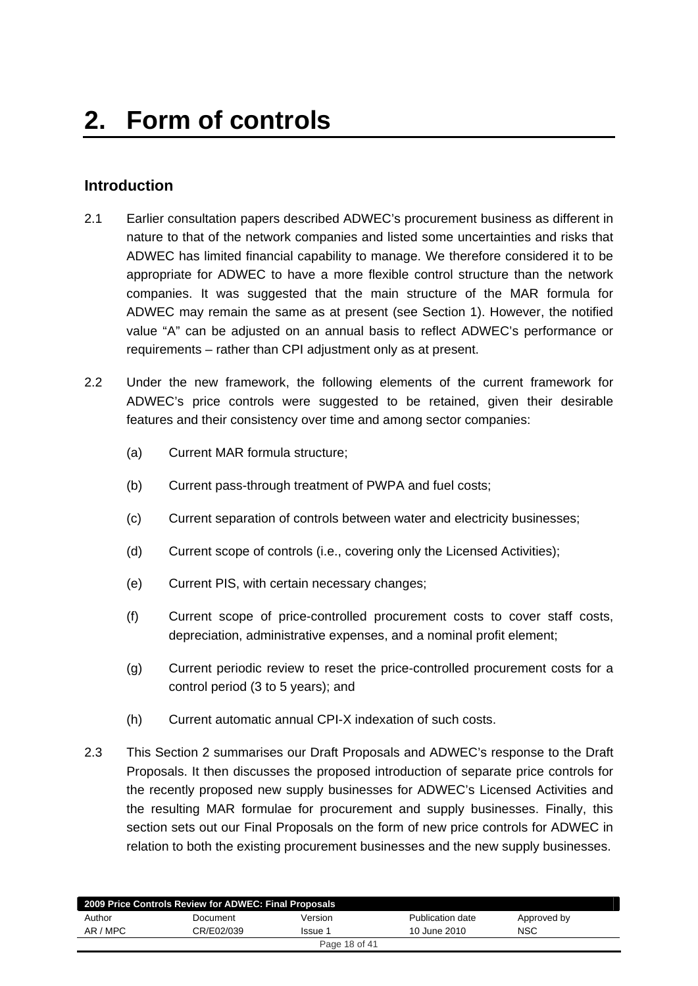# <span id="page-17-0"></span>**Introduction**

- 2.1 Earlier consultation papers described ADWEC's procurement business as different in nature to that of the network companies and listed some uncertainties and risks that ADWEC has limited financial capability to manage. We therefore considered it to be appropriate for ADWEC to have a more flexible control structure than the network companies. It was suggested that the main structure of the MAR formula for ADWEC may remain the same as at present (see Section 1). However, the notified value "A" can be adjusted on an annual basis to reflect ADWEC's performance or requirements – rather than CPI adjustment only as at present.
- 2.2 Under the new framework, the following elements of the current framework for ADWEC's price controls were suggested to be retained, given their desirable features and their consistency over time and among sector companies:
	- (a) Current MAR formula structure;
	- (b) Current pass-through treatment of PWPA and fuel costs;
	- (c) Current separation of controls between water and electricity businesses;
	- (d) Current scope of controls (i.e., covering only the Licensed Activities);
	- (e) Current PIS, with certain necessary changes;
	- (f) Current scope of price-controlled procurement costs to cover staff costs, depreciation, administrative expenses, and a nominal profit element;
	- (g) Current periodic review to reset the price-controlled procurement costs for a control period (3 to 5 years); and
	- (h) Current automatic annual CPI-X indexation of such costs.
- 2.3 This Section 2 summarises our Draft Proposals and ADWEC's response to the Draft Proposals. It then discusses the proposed introduction of separate price controls for the recently proposed new supply businesses for ADWEC's Licensed Activities and the resulting MAR formulae for procurement and supply businesses. Finally, this section sets out our Final Proposals on the form of new price controls for ADWEC in relation to both the existing procurement businesses and the new supply businesses.

| 2009 Price Controls Review for ADWEC: Final Proposals |            |               |                  |             |  |  |
|-------------------------------------------------------|------------|---------------|------------------|-------------|--|--|
| Author                                                | Document   | Version       | Publication date | Approved by |  |  |
| AR / MPC                                              | CR/E02/039 | Issue 1       | 10 June 2010     | NSC         |  |  |
|                                                       |            | Page 18 of 41 |                  |             |  |  |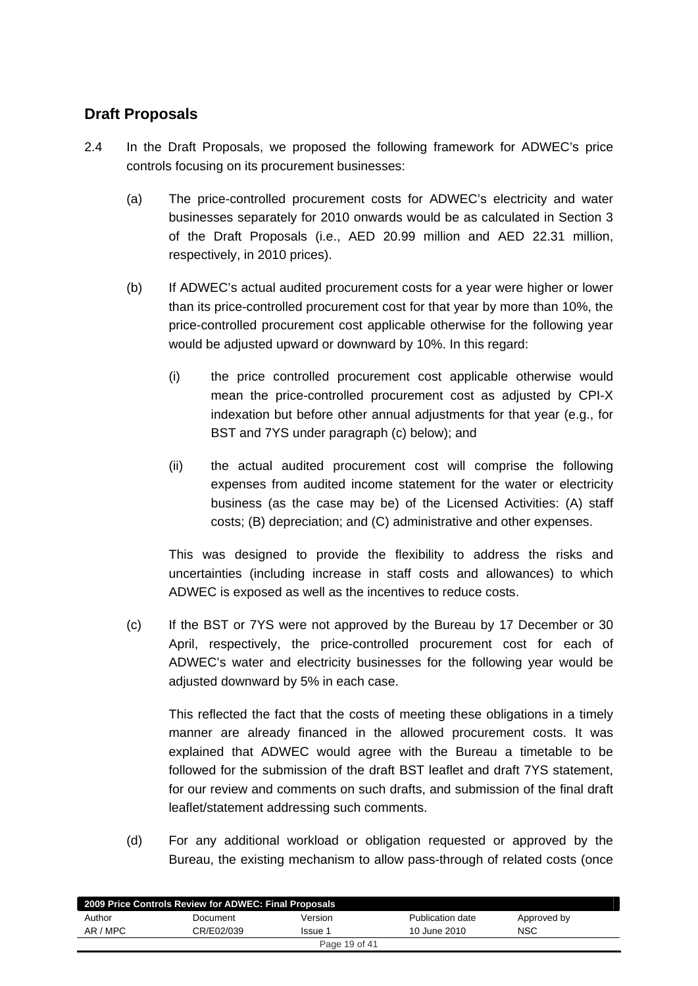# <span id="page-18-0"></span>**Draft Proposals**

- 2.4 In the Draft Proposals, we proposed the following framework for ADWEC's price controls focusing on its procurement businesses:
	- (a) The price-controlled procurement costs for ADWEC's electricity and water businesses separately for 2010 onwards would be as calculated in Section 3 of the Draft Proposals (i.e., AED 20.99 million and AED 22.31 million, respectively, in 2010 prices).
	- (b) If ADWEC's actual audited procurement costs for a year were higher or lower than its price-controlled procurement cost for that year by more than 10%, the price-controlled procurement cost applicable otherwise for the following year would be adjusted upward or downward by 10%. In this regard:
		- (i) the price controlled procurement cost applicable otherwise would mean the price-controlled procurement cost as adjusted by CPI-X indexation but before other annual adjustments for that year (e.g., for BST and 7YS under paragraph (c) below); and
		- (ii) the actual audited procurement cost will comprise the following expenses from audited income statement for the water or electricity business (as the case may be) of the Licensed Activities: (A) staff costs; (B) depreciation; and (C) administrative and other expenses.

This was designed to provide the flexibility to address the risks and uncertainties (including increase in staff costs and allowances) to which ADWEC is exposed as well as the incentives to reduce costs.

(c) If the BST or 7YS were not approved by the Bureau by 17 December or 30 April, respectively, the price-controlled procurement cost for each of ADWEC's water and electricity businesses for the following year would be adjusted downward by 5% in each case.

This reflected the fact that the costs of meeting these obligations in a timely manner are already financed in the allowed procurement costs. It was explained that ADWEC would agree with the Bureau a timetable to be followed for the submission of the draft BST leaflet and draft 7YS statement, for our review and comments on such drafts, and submission of the final draft leaflet/statement addressing such comments.

(d) For any additional workload or obligation requested or approved by the Bureau, the existing mechanism to allow pass-through of related costs (once

| 2009 Price Controls Review for ADWEC: Final Proposals |            |               |                  |             |  |  |
|-------------------------------------------------------|------------|---------------|------------------|-------------|--|--|
| Author                                                | Document   | Version       | Publication date | Approved by |  |  |
| AR / MPC                                              | CR/E02/039 | Issue 1       | 10 June 2010     | NSC         |  |  |
|                                                       |            | Page 19 of 41 |                  |             |  |  |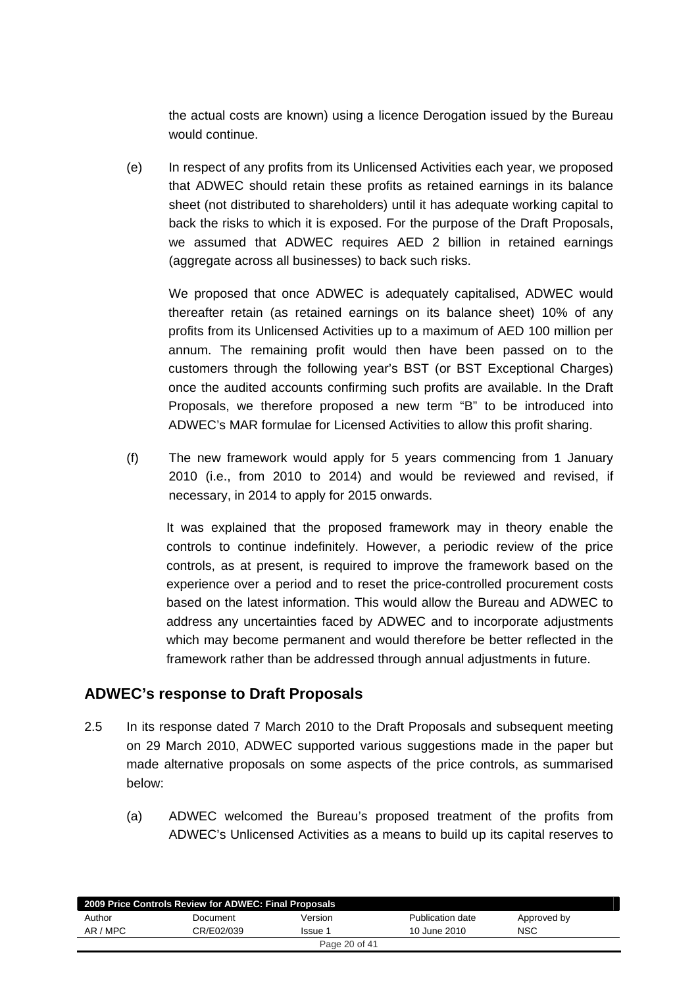<span id="page-19-0"></span>the actual costs are known) using a licence Derogation issued by the Bureau would continue.

(e) In respect of any profits from its Unlicensed Activities each year, we proposed that ADWEC should retain these profits as retained earnings in its balance sheet (not distributed to shareholders) until it has adequate working capital to back the risks to which it is exposed. For the purpose of the Draft Proposals, we assumed that ADWEC requires AED 2 billion in retained earnings (aggregate across all businesses) to back such risks.

We proposed that once ADWEC is adequately capitalised, ADWEC would thereafter retain (as retained earnings on its balance sheet) 10% of any profits from its Unlicensed Activities up to a maximum of AED 100 million per annum. The remaining profit would then have been passed on to the customers through the following year's BST (or BST Exceptional Charges) once the audited accounts confirming such profits are available. In the Draft Proposals, we therefore proposed a new term "B" to be introduced into ADWEC's MAR formulae for Licensed Activities to allow this profit sharing.

(f) The new framework would apply for 5 years commencing from 1 January 2010 (i.e., from 2010 to 2014) and would be reviewed and revised, if necessary, in 2014 to apply for 2015 onwards.

It was explained that the proposed framework may in theory enable the controls to continue indefinitely. However, a periodic review of the price controls, as at present, is required to improve the framework based on the experience over a period and to reset the price-controlled procurement costs based on the latest information. This would allow the Bureau and ADWEC to address any uncertainties faced by ADWEC and to incorporate adjustments which may become permanent and would therefore be better reflected in the framework rather than be addressed through annual adjustments in future.

# **ADWEC's response to Draft Proposals**

- 2.5 In its response dated 7 March 2010 to the Draft Proposals and subsequent meeting on 29 March 2010, ADWEC supported various suggestions made in the paper but made alternative proposals on some aspects of the price controls, as summarised below:
	- (a) ADWEC welcomed the Bureau's proposed treatment of the profits from ADWEC's Unlicensed Activities as a means to build up its capital reserves to

| 2009 Price Controls Review for ADWEC: Final Proposals |            |         |                  |             |  |  |
|-------------------------------------------------------|------------|---------|------------------|-------------|--|--|
| Author                                                | Document   | Version | Publication date | Approved by |  |  |
| AR / MPC                                              | CR/E02/039 | Issue 1 | 10 June 2010     | <b>NSC</b>  |  |  |
| Page 20 of 41                                         |            |         |                  |             |  |  |
|                                                       |            |         |                  |             |  |  |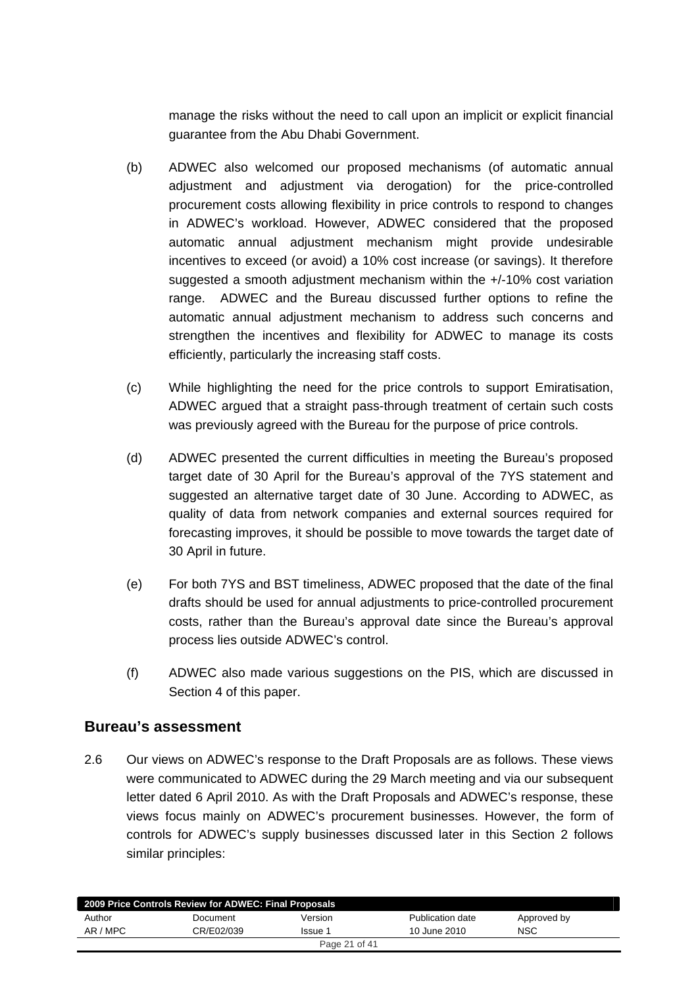<span id="page-20-0"></span>manage the risks without the need to call upon an implicit or explicit financial guarantee from the Abu Dhabi Government.

- (b) ADWEC also welcomed our proposed mechanisms (of automatic annual adjustment and adjustment via derogation) for the price-controlled procurement costs allowing flexibility in price controls to respond to changes in ADWEC's workload. However, ADWEC considered that the proposed automatic annual adjustment mechanism might provide undesirable incentives to exceed (or avoid) a 10% cost increase (or savings). It therefore suggested a smooth adjustment mechanism within the +/-10% cost variation range. ADWEC and the Bureau discussed further options to refine the automatic annual adjustment mechanism to address such concerns and strengthen the incentives and flexibility for ADWEC to manage its costs efficiently, particularly the increasing staff costs.
- (c) While highlighting the need for the price controls to support Emiratisation, ADWEC argued that a straight pass-through treatment of certain such costs was previously agreed with the Bureau for the purpose of price controls.
- (d) ADWEC presented the current difficulties in meeting the Bureau's proposed target date of 30 April for the Bureau's approval of the 7YS statement and suggested an alternative target date of 30 June. According to ADWEC, as quality of data from network companies and external sources required for forecasting improves, it should be possible to move towards the target date of 30 April in future.
- (e) For both 7YS and BST timeliness, ADWEC proposed that the date of the final drafts should be used for annual adjustments to price-controlled procurement costs, rather than the Bureau's approval date since the Bureau's approval process lies outside ADWEC's control.
- (f) ADWEC also made various suggestions on the PIS, which are discussed in Section 4 of this paper.

## **Bureau's assessment**

2.6 Our views on ADWEC's response to the Draft Proposals are as follows. These views were communicated to ADWEC during the 29 March meeting and via our subsequent letter dated 6 April 2010. As with the Draft Proposals and ADWEC's response, these views focus mainly on ADWEC's procurement businesses. However, the form of controls for ADWEC's supply businesses discussed later in this Section 2 follows similar principles:

| 2009 Price Controls Review for ADWEC: Final Proposals |            |         |                  |             |  |  |
|-------------------------------------------------------|------------|---------|------------------|-------------|--|--|
| Author                                                | Document   | Version | Publication date | Approved by |  |  |
| AR / MPC                                              | CR/E02/039 | Issue 1 | 10 June 2010     | <b>NSC</b>  |  |  |
| Page 21 of 41                                         |            |         |                  |             |  |  |
|                                                       |            |         |                  |             |  |  |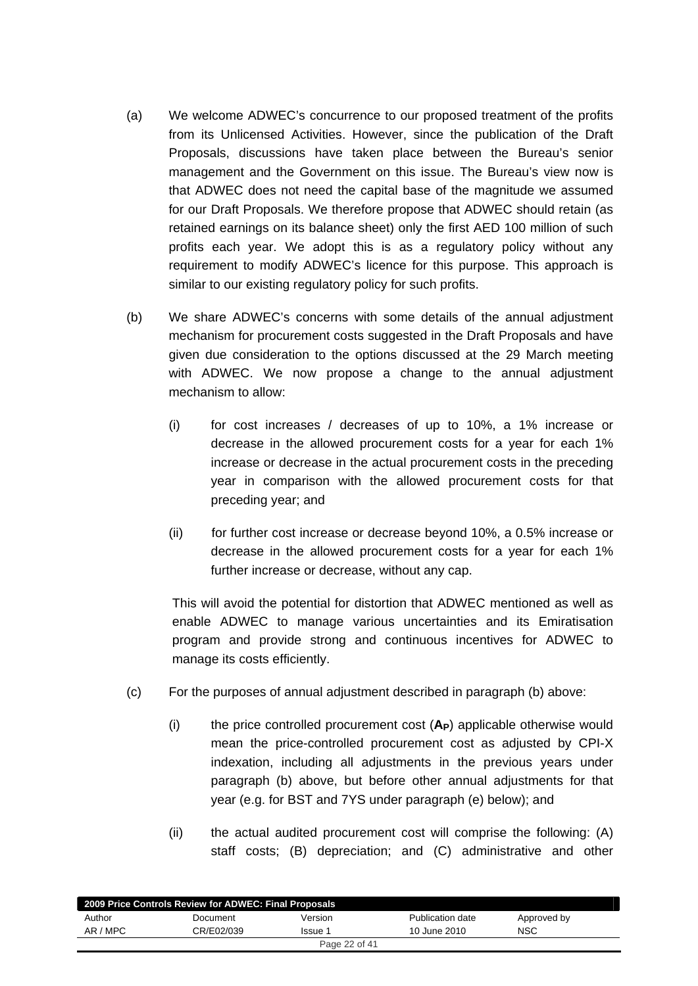- (a) We welcome ADWEC's concurrence to our proposed treatment of the profits from its Unlicensed Activities. However, since the publication of the Draft Proposals, discussions have taken place between the Bureau's senior management and the Government on this issue. The Bureau's view now is that ADWEC does not need the capital base of the magnitude we assumed for our Draft Proposals. We therefore propose that ADWEC should retain (as retained earnings on its balance sheet) only the first AED 100 million of such profits each year. We adopt this is as a regulatory policy without any requirement to modify ADWEC's licence for this purpose. This approach is similar to our existing regulatory policy for such profits.
- (b) We share ADWEC's concerns with some details of the annual adjustment mechanism for procurement costs suggested in the Draft Proposals and have given due consideration to the options discussed at the 29 March meeting with ADWEC. We now propose a change to the annual adjustment mechanism to allow:
	- (i) for cost increases / decreases of up to 10%, a 1% increase or decrease in the allowed procurement costs for a year for each 1% increase or decrease in the actual procurement costs in the preceding year in comparison with the allowed procurement costs for that preceding year; and
	- (ii) for further cost increase or decrease beyond 10%, a 0.5% increase or decrease in the allowed procurement costs for a year for each 1% further increase or decrease, without any cap.

This will avoid the potential for distortion that ADWEC mentioned as well as enable ADWEC to manage various uncertainties and its Emiratisation program and provide strong and continuous incentives for ADWEC to manage its costs efficiently.

- (c) For the purposes of annual adjustment described in paragraph (b) above:
	- (i) the price controlled procurement cost (**AP**) applicable otherwise would mean the price-controlled procurement cost as adjusted by CPI-X indexation, including all adjustments in the previous years under paragraph (b) above, but before other annual adjustments for that year (e.g. for BST and 7YS under paragraph (e) below); and
	- (ii) the actual audited procurement cost will comprise the following: (A) staff costs; (B) depreciation; and (C) administrative and other

| 2009 Price Controls Review for ADWEC: Final Proposals |            |               |                  |             |  |  |
|-------------------------------------------------------|------------|---------------|------------------|-------------|--|--|
| Author                                                | Document   | Version       | Publication date | Approved by |  |  |
| AR / MPC                                              | CR/E02/039 | Issue 1       | 10 June 2010     | NSC         |  |  |
|                                                       |            | Page 22 of 41 |                  |             |  |  |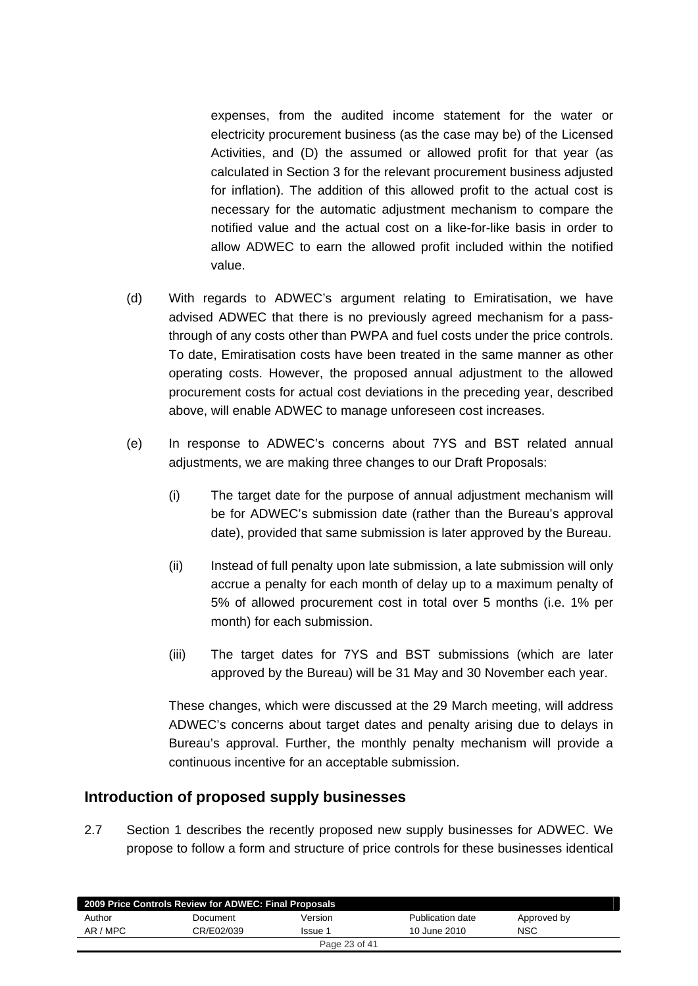<span id="page-22-0"></span>expenses, from the audited income statement for the water or electricity procurement business (as the case may be) of the Licensed Activities, and (D) the assumed or allowed profit for that year (as calculated in Section 3 for the relevant procurement business adjusted for inflation). The addition of this allowed profit to the actual cost is necessary for the automatic adjustment mechanism to compare the notified value and the actual cost on a like-for-like basis in order to allow ADWEC to earn the allowed profit included within the notified value.

- (d) With regards to ADWEC's argument relating to Emiratisation, we have advised ADWEC that there is no previously agreed mechanism for a passthrough of any costs other than PWPA and fuel costs under the price controls. To date, Emiratisation costs have been treated in the same manner as other operating costs. However, the proposed annual adjustment to the allowed procurement costs for actual cost deviations in the preceding year, described above, will enable ADWEC to manage unforeseen cost increases.
- (e) In response to ADWEC's concerns about 7YS and BST related annual adjustments, we are making three changes to our Draft Proposals:
	- (i) The target date for the purpose of annual adjustment mechanism will be for ADWEC's submission date (rather than the Bureau's approval date), provided that same submission is later approved by the Bureau.
	- (ii) Instead of full penalty upon late submission, a late submission will only accrue a penalty for each month of delay up to a maximum penalty of 5% of allowed procurement cost in total over 5 months (i.e. 1% per month) for each submission.
	- (iii) The target dates for 7YS and BST submissions (which are later approved by the Bureau) will be 31 May and 30 November each year.

These changes, which were discussed at the 29 March meeting, will address ADWEC's concerns about target dates and penalty arising due to delays in Bureau's approval. Further, the monthly penalty mechanism will provide a continuous incentive for an acceptable submission.

## **Introduction of proposed supply businesses**

2.7 Section 1 describes the recently proposed new supply businesses for ADWEC. We propose to follow a form and structure of price controls for these businesses identical

| 2009 Price Controls Review for ADWEC: Final Proposals |            |         |                  |             |  |  |
|-------------------------------------------------------|------------|---------|------------------|-------------|--|--|
| Author                                                | Document   | Version | Publication date | Approved by |  |  |
| AR / MPC                                              | CR/E02/039 | Issue 1 | 10 June 2010     | NSC         |  |  |
| Page 23 of 41                                         |            |         |                  |             |  |  |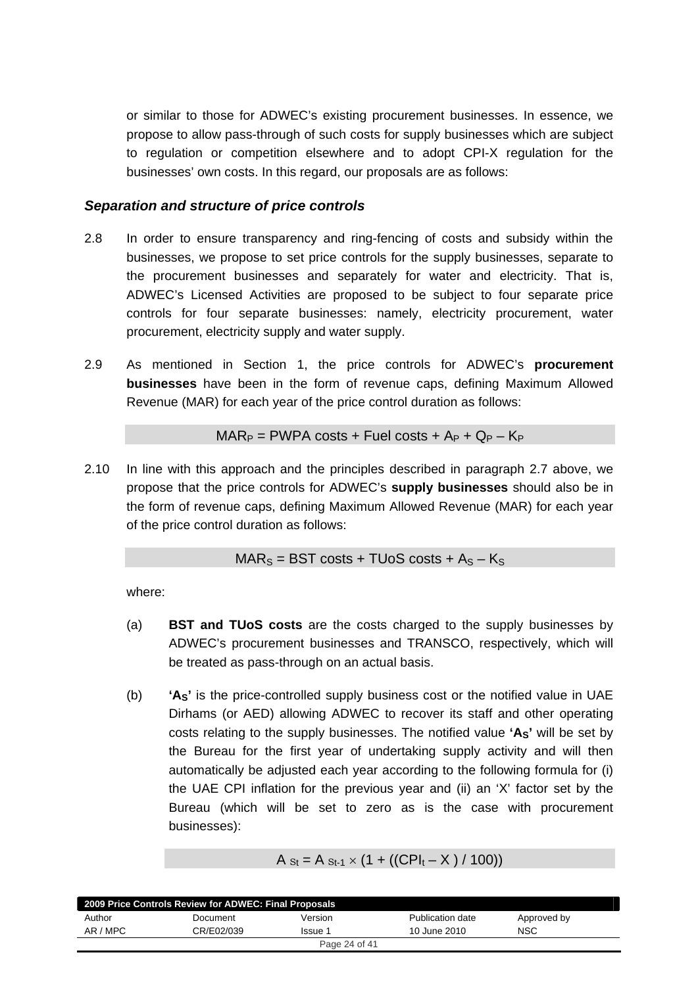or similar to those for ADWEC's existing procurement businesses. In essence, we propose to allow pass-through of such costs for supply businesses which are subject to regulation or competition elsewhere and to adopt CPI-X regulation for the businesses' own costs. In this regard, our proposals are as follows:

#### *Separation and structure of price controls*

- 2.8 In order to ensure transparency and ring-fencing of costs and subsidy within the businesses, we propose to set price controls for the supply businesses, separate to the procurement businesses and separately for water and electricity. That is, ADWEC's Licensed Activities are proposed to be subject to four separate price controls for four separate businesses: namely, electricity procurement, water procurement, electricity supply and water supply.
- 2.9 As mentioned in Section 1, the price controls for ADWEC's **procurement businesses** have been in the form of revenue caps, defining Maximum Allowed Revenue (MAR) for each year of the price control duration as follows:

 $MAR_P = PWPA \text{ costs } + \text{Full costs } + A_P + Q_P - K_P$ 

2.10 In line with this approach and the principles described in paragraph 2.7 above, we propose that the price controls for ADWEC's **supply businesses** should also be in the form of revenue caps, defining Maximum Allowed Revenue (MAR) for each year of the price control duration as follows:

$$
MAR_S = BST \ costs + TUoS \ costs + A_S - K_S
$$

where:

- (a) **BST and TUoS costs** are the costs charged to the supply businesses by ADWEC's procurement businesses and TRANSCO, respectively, which will be treated as pass-through on an actual basis.
- (b) **'AS'** is the price-controlled supply business cost or the notified value in UAE Dirhams (or AED) allowing ADWEC to recover its staff and other operating costs relating to the supply businesses. The notified value **'AS'** will be set by the Bureau for the first year of undertaking supply activity and will then automatically be adjusted each year according to the following formula for (i) the UAE CPI inflation for the previous year and (ii) an 'X' factor set by the Bureau (which will be set to zero as is the case with procurement businesses):

$$
A_{\text{St}} = A_{\text{St-1}} \times (1 + ((\text{CPI}_{t} - X) / 100))
$$

| 2009 Price Controls Review for ADWEC: Final Proposals |            |               |                  |             |  |  |
|-------------------------------------------------------|------------|---------------|------------------|-------------|--|--|
| Author                                                | Document   | Version       | Publication date | Approved by |  |  |
| AR / MPC                                              | CR/E02/039 | Issue 1       | 10 June 2010     | NSC         |  |  |
|                                                       |            | Page 24 of 41 |                  |             |  |  |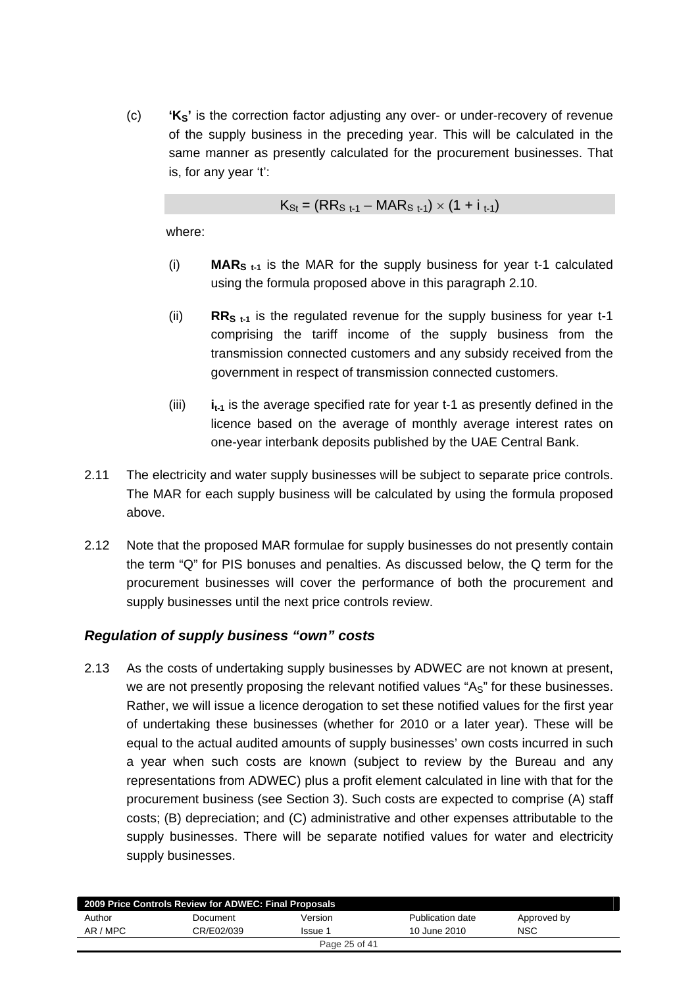(c) **'KS'** is the correction factor adjusting any over- or under-recovery of revenue of the supply business in the preceding year. This will be calculated in the same manner as presently calculated for the procurement businesses. That is, for any year 't':

$$
K_{\rm St} = (RR_{\rm S\ t-1} - MAR_{\rm S\ t-1}) \times (1 + i_{\rm t-1})
$$

where:

- (i) **MARS t-1** is the MAR for the supply business for year t-1 calculated using the formula proposed above in this paragraph 2.10.
- (ii) **RRS t-1** is the regulated revenue for the supply business for year t-1 comprising the tariff income of the supply business from the transmission connected customers and any subsidy received from the government in respect of transmission connected customers.
- (iii)  $i_{t-1}$  is the average specified rate for year t-1 as presently defined in the licence based on the average of monthly average interest rates on one-year interbank deposits published by the UAE Central Bank.
- 2.11 The electricity and water supply businesses will be subject to separate price controls. The MAR for each supply business will be calculated by using the formula proposed above.
- 2.12 Note that the proposed MAR formulae for supply businesses do not presently contain the term "Q" for PIS bonuses and penalties. As discussed below, the Q term for the procurement businesses will cover the performance of both the procurement and supply businesses until the next price controls review.

## *Regulation of supply business "own" costs*

2.13 As the costs of undertaking supply businesses by ADWEC are not known at present, we are not presently proposing the relevant notified values " $As$ " for these businesses. Rather, we will issue a licence derogation to set these notified values for the first year of undertaking these businesses (whether for 2010 or a later year). These will be equal to the actual audited amounts of supply businesses' own costs incurred in such a year when such costs are known (subject to review by the Bureau and any representations from ADWEC) plus a profit element calculated in line with that for the procurement business (see Section 3). Such costs are expected to comprise (A) staff costs; (B) depreciation; and (C) administrative and other expenses attributable to the supply businesses. There will be separate notified values for water and electricity supply businesses.

| 2009 Price Controls Review for ADWEC: Final Proposals |            |         |                  |             |  |  |
|-------------------------------------------------------|------------|---------|------------------|-------------|--|--|
| Author                                                | Document   | Version | Publication date | Approved by |  |  |
| AR / MPC                                              | CR/E02/039 | Issue 1 | 10 June 2010     | NSC         |  |  |
| Page 25 of 41                                         |            |         |                  |             |  |  |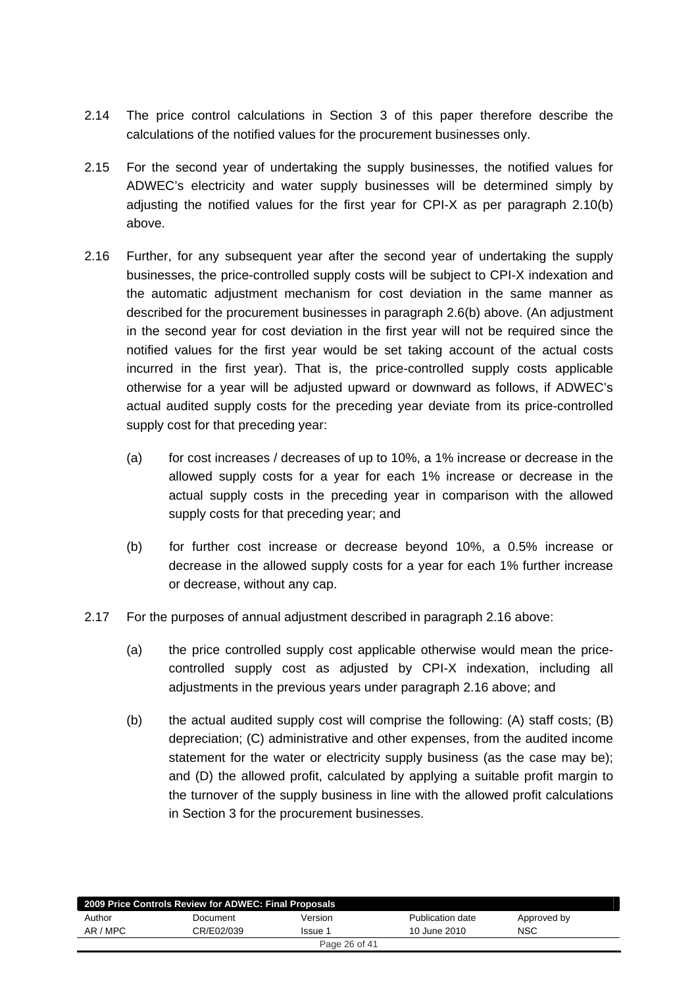- 2.14 The price control calculations in Section 3 of this paper therefore describe the calculations of the notified values for the procurement businesses only.
- 2.15 For the second year of undertaking the supply businesses, the notified values for ADWEC's electricity and water supply businesses will be determined simply by adjusting the notified values for the first year for CPI-X as per paragraph 2.10(b) above.
- 2.16 Further, for any subsequent year after the second year of undertaking the supply businesses, the price-controlled supply costs will be subject to CPI-X indexation and the automatic adjustment mechanism for cost deviation in the same manner as described for the procurement businesses in paragraph 2.6(b) above. (An adjustment in the second year for cost deviation in the first year will not be required since the notified values for the first year would be set taking account of the actual costs incurred in the first year). That is, the price-controlled supply costs applicable otherwise for a year will be adjusted upward or downward as follows, if ADWEC's actual audited supply costs for the preceding year deviate from its price-controlled supply cost for that preceding year:
	- (a) for cost increases / decreases of up to 10%, a 1% increase or decrease in the allowed supply costs for a year for each 1% increase or decrease in the actual supply costs in the preceding year in comparison with the allowed supply costs for that preceding year; and
	- (b) for further cost increase or decrease beyond 10%, a 0.5% increase or decrease in the allowed supply costs for a year for each 1% further increase or decrease, without any cap.
- 2.17 For the purposes of annual adjustment described in paragraph 2.16 above:
	- (a) the price controlled supply cost applicable otherwise would mean the pricecontrolled supply cost as adjusted by CPI-X indexation, including all adjustments in the previous years under paragraph 2.16 above; and
	- (b) the actual audited supply cost will comprise the following: (A) staff costs; (B) depreciation; (C) administrative and other expenses, from the audited income statement for the water or electricity supply business (as the case may be); and (D) the allowed profit, calculated by applying a suitable profit margin to the turnover of the supply business in line with the allowed profit calculations in Section 3 for the procurement businesses.

| 2009 Price Controls Review for ADWEC: Final Proposals |            |         |                  |             |  |  |
|-------------------------------------------------------|------------|---------|------------------|-------------|--|--|
| Author                                                | Document   | Version | Publication date | Approved by |  |  |
| AR / MPC                                              | CR/E02/039 | Issue 1 | 10 June 2010     | <b>NSC</b>  |  |  |
| Page 26 of 41                                         |            |         |                  |             |  |  |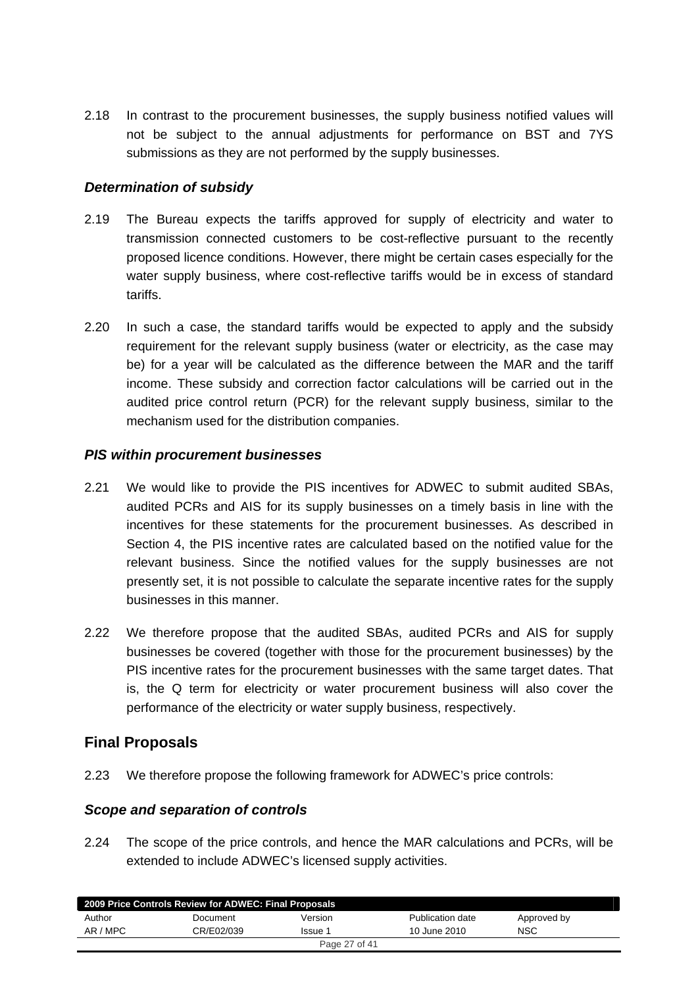<span id="page-26-0"></span>2.18 In contrast to the procurement businesses, the supply business notified values will not be subject to the annual adjustments for performance on BST and 7YS submissions as they are not performed by the supply businesses.

## *Determination of subsidy*

- 2.19 The Bureau expects the tariffs approved for supply of electricity and water to transmission connected customers to be cost-reflective pursuant to the recently proposed licence conditions. However, there might be certain cases especially for the water supply business, where cost-reflective tariffs would be in excess of standard tariffs.
- 2.20 In such a case, the standard tariffs would be expected to apply and the subsidy requirement for the relevant supply business (water or electricity, as the case may be) for a year will be calculated as the difference between the MAR and the tariff income. These subsidy and correction factor calculations will be carried out in the audited price control return (PCR) for the relevant supply business, similar to the mechanism used for the distribution companies.

## *PIS within procurement businesses*

- 2.21 We would like to provide the PIS incentives for ADWEC to submit audited SBAs, audited PCRs and AIS for its supply businesses on a timely basis in line with the incentives for these statements for the procurement businesses. As described in Section 4, the PIS incentive rates are calculated based on the notified value for the relevant business. Since the notified values for the supply businesses are not presently set, it is not possible to calculate the separate incentive rates for the supply businesses in this manner.
- 2.22 We therefore propose that the audited SBAs, audited PCRs and AIS for supply businesses be covered (together with those for the procurement businesses) by the PIS incentive rates for the procurement businesses with the same target dates. That is, the Q term for electricity or water procurement business will also cover the performance of the electricity or water supply business, respectively.

## **Final Proposals**

2.23 We therefore propose the following framework for ADWEC's price controls:

## *Scope and separation of controls*

2.24 The scope of the price controls, and hence the MAR calculations and PCRs, will be extended to include ADWEC's licensed supply activities.

| Author<br>Version<br>Publication date<br>Document | Approved by |
|---------------------------------------------------|-------------|
| AR / MPC<br>CR/E02/039<br>10 June 2010<br>Issue 1 | <b>NSC</b>  |
| Page 27 of 41                                     |             |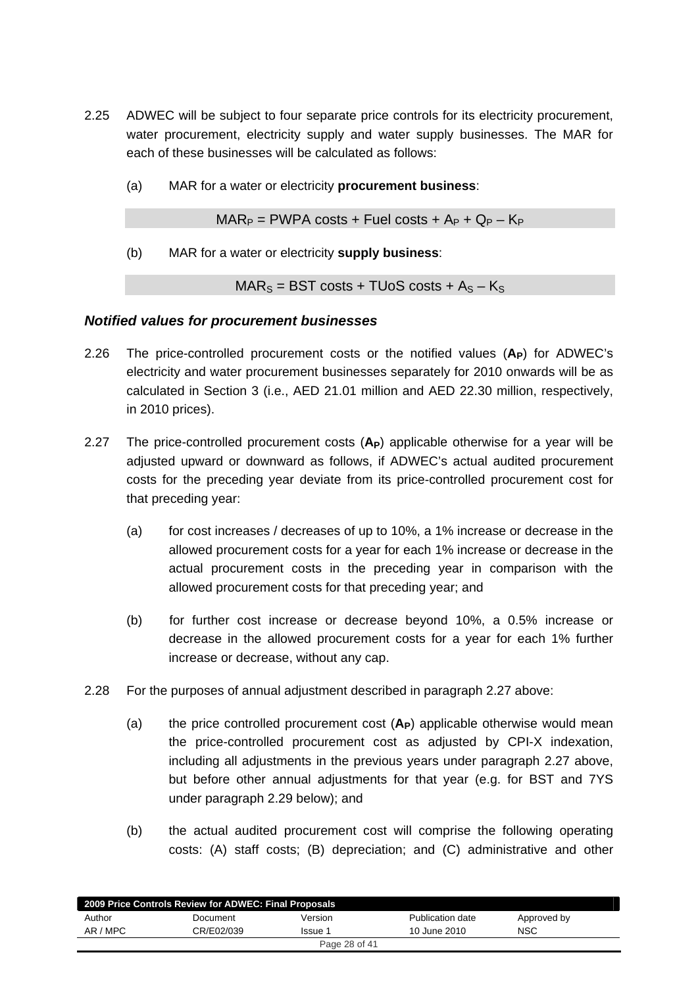- 2.25 ADWEC will be subject to four separate price controls for its electricity procurement, water procurement, electricity supply and water supply businesses. The MAR for each of these businesses will be calculated as follows:
	- (a) MAR for a water or electricity **procurement business**:

 $MAR_P = PWPA \text{ costs } + \text{Full costs } + A_P + Q_P - K_P$ 

(b) MAR for a water or electricity **supply business**:

 $MAR_S = BST \text{ costs} + TUoS \text{ costs} + As - K_S$ 

### *Notified values for procurement businesses*

- 2.26 The price-controlled procurement costs or the notified values (**AP**) for ADWEC's electricity and water procurement businesses separately for 2010 onwards will be as calculated in Section 3 (i.e., AED 21.01 million and AED 22.30 million, respectively, in 2010 prices).
- 2.27 The price-controlled procurement costs (A<sub>P</sub>) applicable otherwise for a year will be adjusted upward or downward as follows, if ADWEC's actual audited procurement costs for the preceding year deviate from its price-controlled procurement cost for that preceding year:
	- (a) for cost increases / decreases of up to 10%, a 1% increase or decrease in the allowed procurement costs for a year for each 1% increase or decrease in the actual procurement costs in the preceding year in comparison with the allowed procurement costs for that preceding year; and
	- (b) for further cost increase or decrease beyond 10%, a 0.5% increase or decrease in the allowed procurement costs for a year for each 1% further increase or decrease, without any cap.
- 2.28 For the purposes of annual adjustment described in paragraph 2.27 above:
	- (a) the price controlled procurement cost (A<sub>P</sub>) applicable otherwise would mean the price-controlled procurement cost as adjusted by CPI-X indexation, including all adjustments in the previous years under paragraph 2.27 above, but before other annual adjustments for that year (e.g. for BST and 7YS under paragraph 2.29 below); and
	- (b) the actual audited procurement cost will comprise the following operating costs: (A) staff costs; (B) depreciation; and (C) administrative and other

| 2009 Price Controls Review for ADWEC: Final Proposals |            |               |                  |             |  |  |
|-------------------------------------------------------|------------|---------------|------------------|-------------|--|--|
| Author                                                | Document   | Version       | Publication date | Approved by |  |  |
| AR / MPC                                              | CR/E02/039 | Issue 1       | 10 June 2010     | NSC         |  |  |
|                                                       |            | Page 28 of 41 |                  |             |  |  |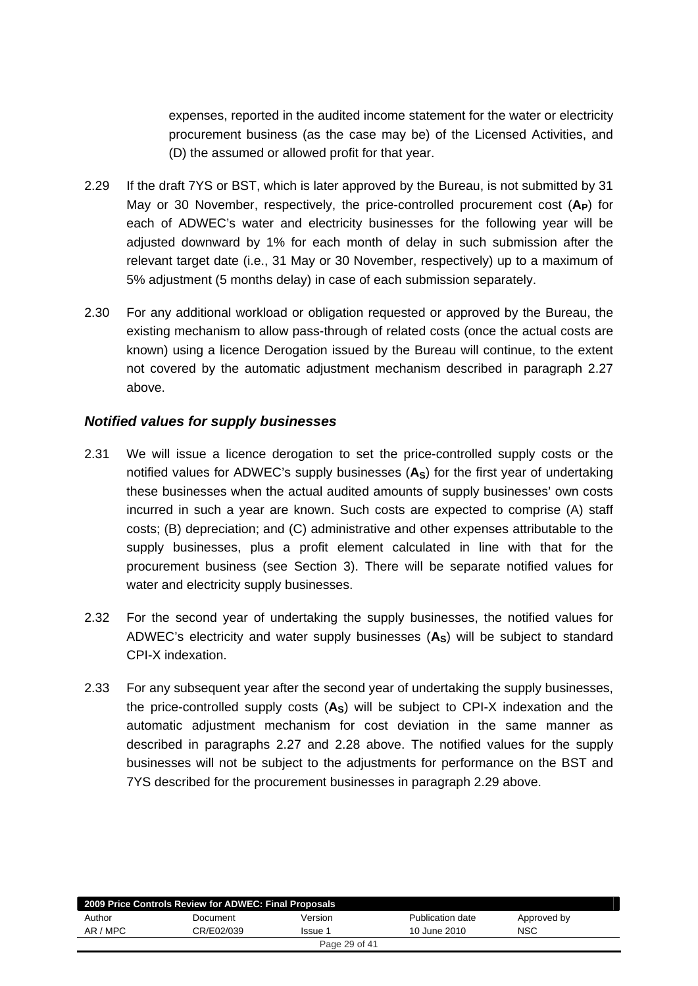expenses, reported in the audited income statement for the water or electricity procurement business (as the case may be) of the Licensed Activities, and (D) the assumed or allowed profit for that year.

- 2.29 If the draft 7YS or BST, which is later approved by the Bureau, is not submitted by 31 May or 30 November, respectively, the price-controlled procurement cost (A<sub>P</sub>) for each of ADWEC's water and electricity businesses for the following year will be adjusted downward by 1% for each month of delay in such submission after the relevant target date (i.e., 31 May or 30 November, respectively) up to a maximum of 5% adjustment (5 months delay) in case of each submission separately.
- 2.30 For any additional workload or obligation requested or approved by the Bureau, the existing mechanism to allow pass-through of related costs (once the actual costs are known) using a licence Derogation issued by the Bureau will continue, to the extent not covered by the automatic adjustment mechanism described in paragraph 2.27 above.

### *Notified values for supply businesses*

- 2.31 We will issue a licence derogation to set the price-controlled supply costs or the notified values for ADWEC's supply businesses (**AS**) for the first year of undertaking these businesses when the actual audited amounts of supply businesses' own costs incurred in such a year are known. Such costs are expected to comprise (A) staff costs; (B) depreciation; and (C) administrative and other expenses attributable to the supply businesses, plus a profit element calculated in line with that for the procurement business (see Section 3). There will be separate notified values for water and electricity supply businesses.
- 2.32 For the second year of undertaking the supply businesses, the notified values for ADWEC's electricity and water supply businesses (**AS**) will be subject to standard CPI-X indexation.
- 2.33 For any subsequent year after the second year of undertaking the supply businesses, the price-controlled supply costs  $(A<sub>S</sub>)$  will be subject to CPI-X indexation and the automatic adjustment mechanism for cost deviation in the same manner as described in paragraphs 2.27 and 2.28 above. The notified values for the supply businesses will not be subject to the adjustments for performance on the BST and 7YS described for the procurement businesses in paragraph 2.29 above.

| 2009 Price Controls Review for ADWEC: Final Proposals |            |               |                  |             |  |  |
|-------------------------------------------------------|------------|---------------|------------------|-------------|--|--|
| Author                                                | Document   | Version       | Publication date | Approved by |  |  |
| AR / MPC                                              | CR/E02/039 | Issue 1       | 10 June 2010     | <b>NSC</b>  |  |  |
|                                                       |            | Page 29 of 41 |                  |             |  |  |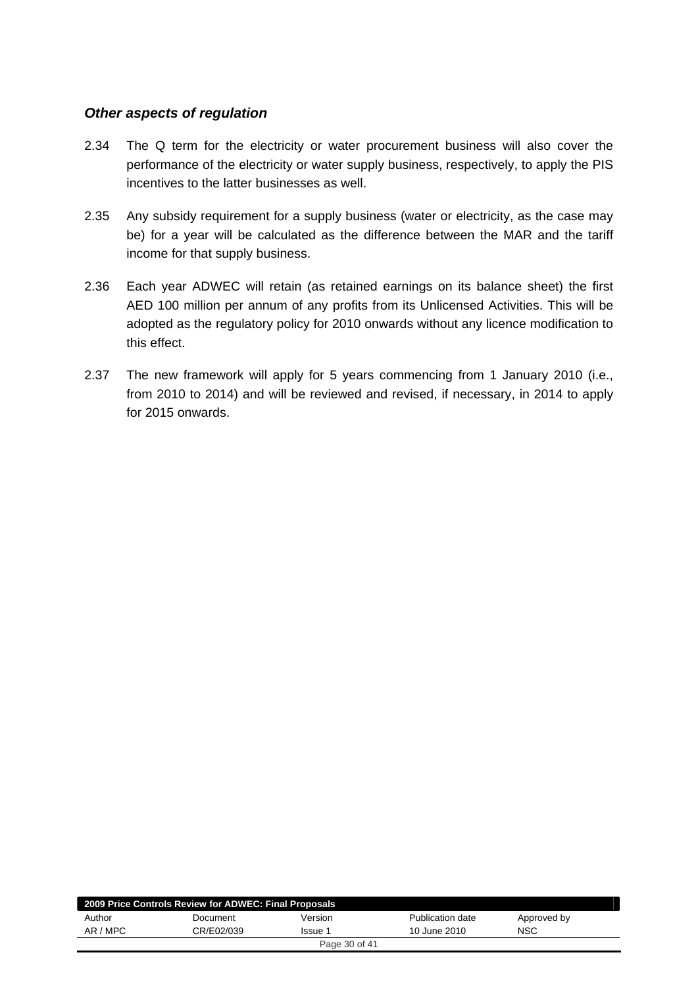## *Other aspects of regulation*

- 2.34 The Q term for the electricity or water procurement business will also cover the performance of the electricity or water supply business, respectively, to apply the PIS incentives to the latter businesses as well.
- 2.35 Any subsidy requirement for a supply business (water or electricity, as the case may be) for a year will be calculated as the difference between the MAR and the tariff income for that supply business.
- 2.36 Each year ADWEC will retain (as retained earnings on its balance sheet) the first AED 100 million per annum of any profits from its Unlicensed Activities. This will be adopted as the regulatory policy for 2010 onwards without any licence modification to this effect.
- 2.37 The new framework will apply for 5 years commencing from 1 January 2010 (i.e., from 2010 to 2014) and will be reviewed and revised, if necessary, in 2014 to apply for 2015 onwards.

| 2009 Price Controls Review for ADWEC: Final Proposals |            |               |                  |             |  |  |
|-------------------------------------------------------|------------|---------------|------------------|-------------|--|--|
| Author                                                | Document   | Version       | Publication date | Approved by |  |  |
| AR / MPC                                              | CR/E02/039 | Issue 1       | 10 June 2010     | NSC         |  |  |
|                                                       |            | Page 30 of 41 |                  |             |  |  |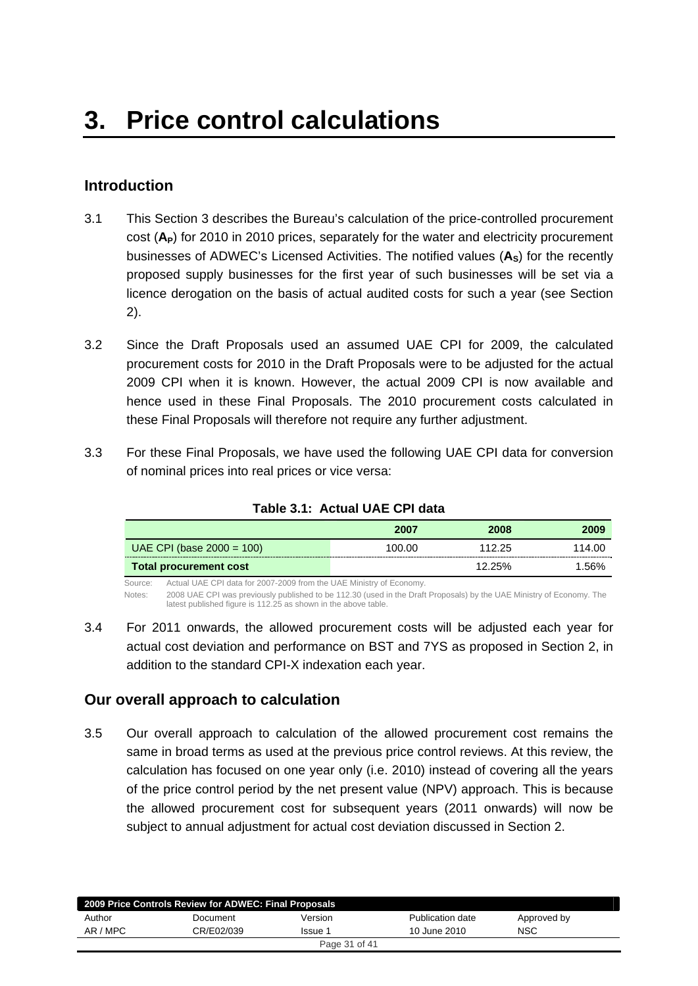# <span id="page-30-0"></span>**Introduction**

- 3.1 This Section 3 describes the Bureau's calculation of the price-controlled procurement cost (A<sub>P</sub>) for 2010 in 2010 prices, separately for the water and electricity procurement businesses of ADWEC's Licensed Activities. The notified values (**AS**) for the recently proposed supply businesses for the first year of such businesses will be set via a licence derogation on the basis of actual audited costs for such a year (see Section 2).
- 3.2 Since the Draft Proposals used an assumed UAE CPI for 2009, the calculated procurement costs for 2010 in the Draft Proposals were to be adjusted for the actual 2009 CPI when it is known. However, the actual 2009 CPI is now available and hence used in these Final Proposals. The 2010 procurement costs calculated in these Final Proposals will therefore not require any further adjustment.
- 3.3 For these Final Proposals, we have used the following UAE CPI data for conversion of nominal prices into real prices or vice versa:

|                              | 2007   | 2008      | 2009   |
|------------------------------|--------|-----------|--------|
| UAE CPI (base $2000 = 100$ ) | 100.00 | 112.25    | 114.00 |
| Total procurement cost       |        | $12.25\%$ | 1.56%  |

#### **Table 3.1: Actual UAE CPI data**

Source: Actual UAE CPI data for 2007-2009 from the UAE Ministry of Economy.

Notes: 2008 UAE CPI was previously published to be 112.30 (used in the Draft Proposals) by the UAE Ministry of Economy. The latest published figure is 112.25 as shown in the above table.

3.4 For 2011 onwards, the allowed procurement costs will be adjusted each year for actual cost deviation and performance on BST and 7YS as proposed in Section 2, in addition to the standard CPI-X indexation each year.

## **Our overall approach to calculation**

3.5 Our overall approach to calculation of the allowed procurement cost remains the same in broad terms as used at the previous price control reviews. At this review, the calculation has focused on one year only (i.e. 2010) instead of covering all the years of the price control period by the net present value (NPV) approach. This is because the allowed procurement cost for subsequent years (2011 onwards) will now be subject to annual adjustment for actual cost deviation discussed in Section 2.

| 2009 Price Controls Review for ADWEC: Final Proposals |            |               |                  |             |  |
|-------------------------------------------------------|------------|---------------|------------------|-------------|--|
| Author                                                | Document   | Version       | Publication date | Approved by |  |
| AR / MPC                                              | CR/E02/039 | Issue 1       | 10 June 2010     | <b>NSC</b>  |  |
|                                                       |            | Page 31 of 41 |                  |             |  |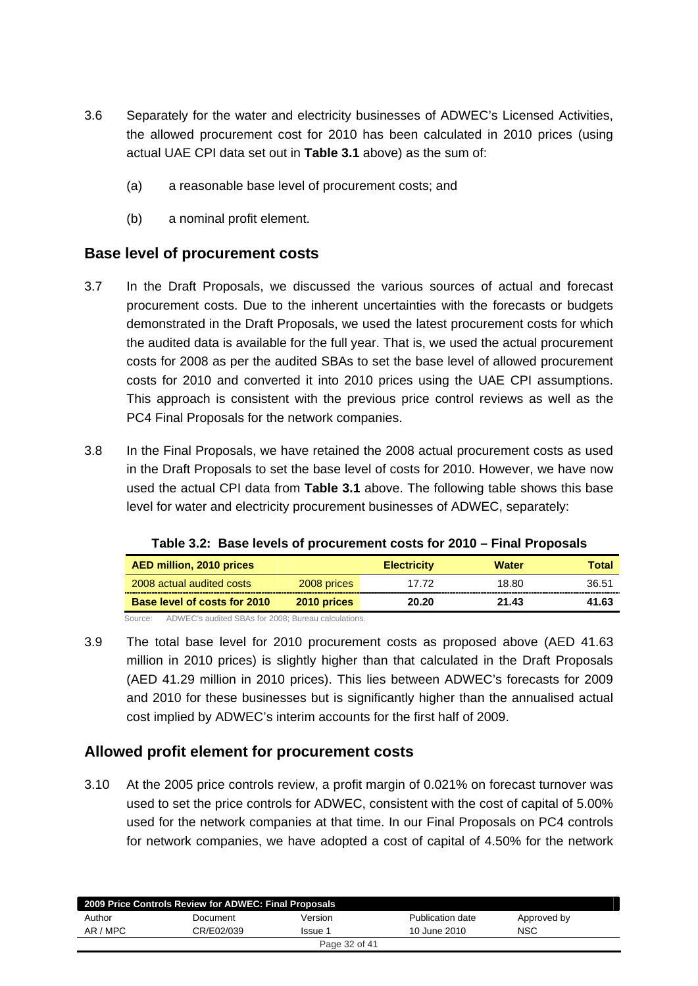- <span id="page-31-0"></span>3.6 Separately for the water and electricity businesses of ADWEC's Licensed Activities, the allowed procurement cost for 2010 has been calculated in 2010 prices (using actual UAE CPI data set out in **Table 3.1** above) as the sum of:
	- (a) a reasonable base level of procurement costs; and
	- (b) a nominal profit element.

## **Base level of procurement costs**

- 3.7 In the Draft Proposals, we discussed the various sources of actual and forecast procurement costs. Due to the inherent uncertainties with the forecasts or budgets demonstrated in the Draft Proposals, we used the latest procurement costs for which the audited data is available for the full year. That is, we used the actual procurement costs for 2008 as per the audited SBAs to set the base level of allowed procurement costs for 2010 and converted it into 2010 prices using the UAE CPI assumptions. This approach is consistent with the previous price control reviews as well as the PC4 Final Proposals for the network companies.
- 3.8 In the Final Proposals, we have retained the 2008 actual procurement costs as used in the Draft Proposals to set the base level of costs for 2010. However, we have now used the actual CPI data from **Table 3.1** above. The following table shows this base level for water and electricity procurement businesses of ADWEC, separately:

| AED million, 2010 prices            |             | <b>Electricity</b> | <b>Water</b> | <b>Total</b> |
|-------------------------------------|-------------|--------------------|--------------|--------------|
| 2008 actual audited costs           | 2008 prices | 17 72              | 18.80        | 36.51        |
| <b>Base level of costs for 2010</b> | 2010 prices | 20.20              | 21.43        | 41.63        |

**Table 3.2: Base levels of procurement costs for 2010 – Final Proposals** 

Source: ADWEC's audited SBAs for 2008; Bureau calculations.

3.9 The total base level for 2010 procurement costs as proposed above (AED 41.63 million in 2010 prices) is slightly higher than that calculated in the Draft Proposals (AED 41.29 million in 2010 prices). This lies between ADWEC's forecasts for 2009 and 2010 for these businesses but is significantly higher than the annualised actual cost implied by ADWEC's interim accounts for the first half of 2009.

## **Allowed profit element for procurement costs**

3.10 At the 2005 price controls review, a profit margin of 0.021% on forecast turnover was used to set the price controls for ADWEC, consistent with the cost of capital of 5.00% used for the network companies at that time. In our Final Proposals on PC4 controls for network companies, we have adopted a cost of capital of 4.50% for the network

| 2009 Price Controls Review for ADWEC: Final Proposals |            |               |                  |             |  |  |
|-------------------------------------------------------|------------|---------------|------------------|-------------|--|--|
| Author                                                | Document   | Version       | Publication date | Approved by |  |  |
| AR / MPC                                              | CR/E02/039 | Issue 1       | 10 June 2010     | <b>NSC</b>  |  |  |
|                                                       |            | Page 32 of 41 |                  |             |  |  |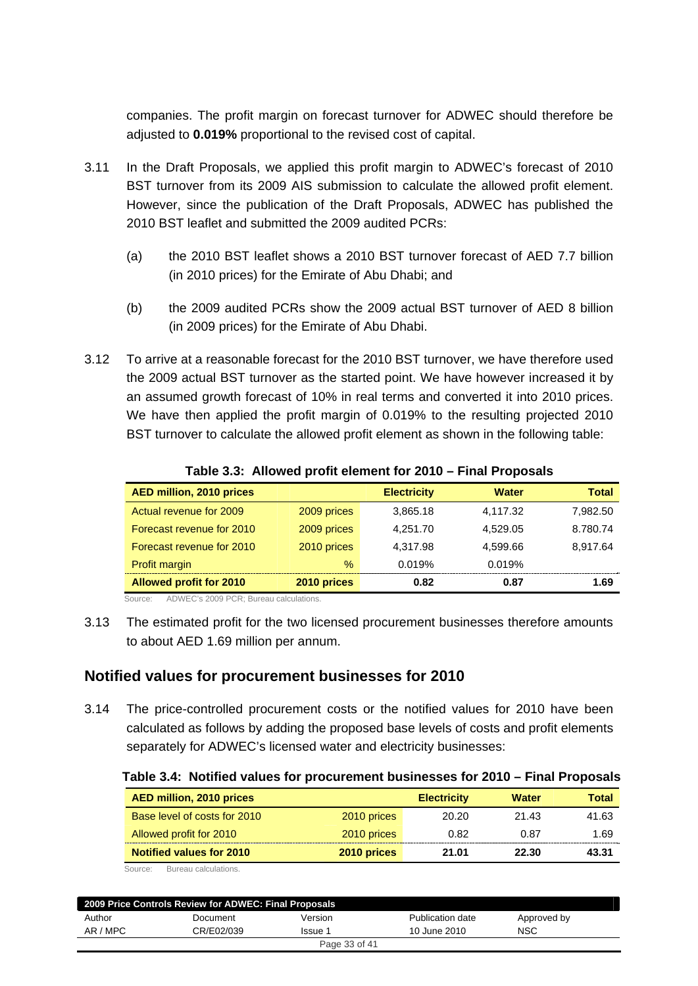<span id="page-32-0"></span>companies. The profit margin on forecast turnover for ADWEC should therefore be adjusted to **0.019%** proportional to the revised cost of capital.

- 3.11 In the Draft Proposals, we applied this profit margin to ADWEC's forecast of 2010 BST turnover from its 2009 AIS submission to calculate the allowed profit element. However, since the publication of the Draft Proposals, ADWEC has published the 2010 BST leaflet and submitted the 2009 audited PCRs:
	- (a) the 2010 BST leaflet shows a 2010 BST turnover forecast of AED 7.7 billion (in 2010 prices) for the Emirate of Abu Dhabi; and
	- (b) the 2009 audited PCRs show the 2009 actual BST turnover of AED 8 billion (in 2009 prices) for the Emirate of Abu Dhabi.
- 3.12 To arrive at a reasonable forecast for the 2010 BST turnover, we have therefore used the 2009 actual BST turnover as the started point. We have however increased it by an assumed growth forecast of 10% in real terms and converted it into 2010 prices. We have then applied the profit margin of 0.019% to the resulting projected 2010 BST turnover to calculate the allowed profit element as shown in the following table:

| AED million, 2010 prices       |             | <b>Electricity</b> | <b>Water</b> | <b>Total</b> |
|--------------------------------|-------------|--------------------|--------------|--------------|
| Actual revenue for 2009        | 2009 prices | 3,865.18           | 4,117.32     | 7,982.50     |
| Forecast revenue for 2010      | 2009 prices | 4.251.70           | 4.529.05     | 8.780.74     |
| Forecast revenue for 2010      | 2010 prices | 4,317.98           | 4.599.66     | 8,917.64     |
| Profit margin                  | $\%$        | 0.019%             | 0.019%       |              |
| <b>Allowed profit for 2010</b> | 2010 prices | 0.82               | 0.87         | 1.69         |

**Table 3.3: Allowed profit element for 2010 – Final Proposals** 

Source: ADWEC's 2009 PCR; Bureau calculations.

3.13 The estimated profit for the two licensed procurement businesses therefore amounts to about AED 1.69 million per annum.

## **Notified values for procurement businesses for 2010**

3.14 The price-controlled procurement costs or the notified values for 2010 have been calculated as follows by adding the proposed base levels of costs and profit elements separately for ADWEC's licensed water and electricity businesses:

|  |  | Table 3.4: Notified values for procurement businesses for 2010 – Final Proposals |  |
|--|--|----------------------------------------------------------------------------------|--|
|  |  |                                                                                  |  |

| AED million, 2010 prices     |             | <b>Electricity</b> | <b>Water</b> | Total |
|------------------------------|-------------|--------------------|--------------|-------|
| Base level of costs for 2010 | 2010 prices | 20.20              | 21.43        | 41.63 |
| Allowed profit for 2010      | 2010 prices | 0.82               | 0.87         | 1.69  |
| Notified values for 2010     | 2010 prices | 21.01              | 22.30        | 43.31 |

Source: Bureau calculations.

| 2009 Price Controls Review for ADWEC: Final Proposals |            |               |                  |             |  |  |  |
|-------------------------------------------------------|------------|---------------|------------------|-------------|--|--|--|
| Author                                                | Document   | Version       | Publication date | Approved by |  |  |  |
| AR / MPC                                              | CR/E02/039 | Issue 1       | 10 June 2010     | <b>NSC</b>  |  |  |  |
|                                                       |            | Page 33 of 41 |                  |             |  |  |  |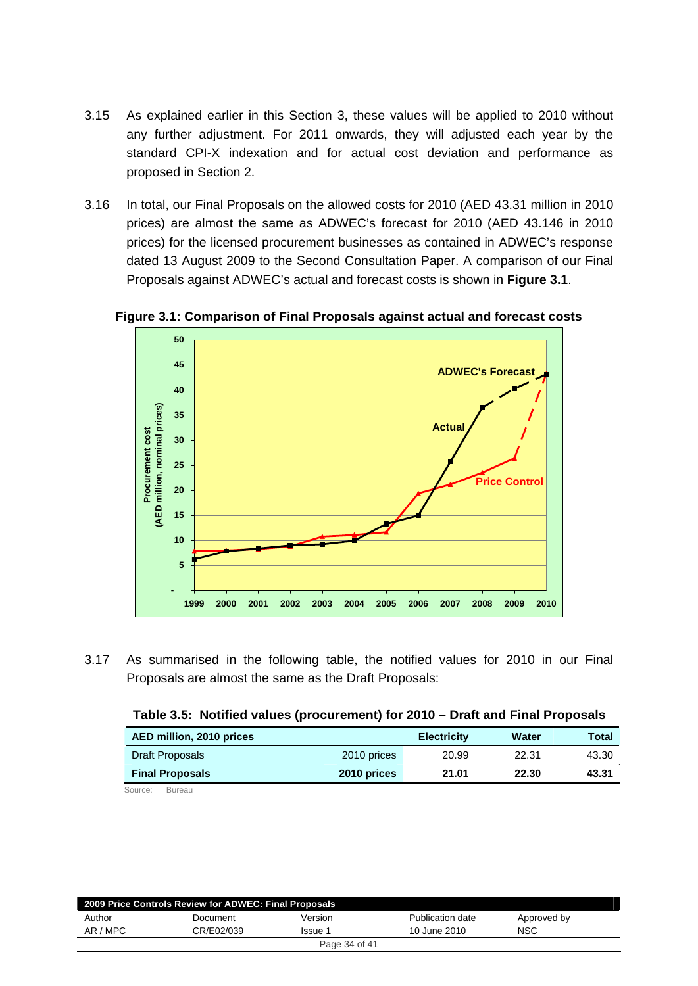- 3.15 As explained earlier in this Section 3, these values will be applied to 2010 without any further adjustment. For 2011 onwards, they will adjusted each year by the standard CPI-X indexation and for actual cost deviation and performance as proposed in Section 2.
- 3.16 In total, our Final Proposals on the allowed costs for 2010 (AED 43.31 million in 2010 prices) are almost the same as ADWEC's forecast for 2010 (AED 43.146 in 2010 prices) for the licensed procurement businesses as contained in ADWEC's response dated 13 August 2009 to the Second Consultation Paper. A comparison of our Final Proposals against ADWEC's actual and forecast costs is shown in **Figure 3.1**.



**Figure 3.1: Comparison of Final Proposals against actual and forecast costs** 

3.17 As summarised in the following table, the notified values for 2010 in our Final Proposals are almost the same as the Draft Proposals:

| AED million, 2010 prices |             | <b>Electricity</b> | Water | Total |  |
|--------------------------|-------------|--------------------|-------|-------|--|
| Draft Proposals          | 2010 prices | 20.99              | 22.31 | 43.30 |  |
| <b>Final Proposals</b>   | 2010 prices | 21.01              | 22.30 | 43.31 |  |
| Source:<br>Bureau        |             |                    |       |       |  |

| Table 3.5: Notified values (procurement) for 2010 - Draft and Final Proposals |  |  |  |
|-------------------------------------------------------------------------------|--|--|--|
|-------------------------------------------------------------------------------|--|--|--|

| 2009 Price Controls Review for ADWEC: Final Proposals |            |                |                  |             |
|-------------------------------------------------------|------------|----------------|------------------|-------------|
| Author                                                | Document   | Version        | Publication date | Approved by |
| AR / MPC                                              | CR/E02/039 | <b>Issue 1</b> | 10 June 2010     | NSC         |
|                                                       |            | Page 34 of 41  |                  |             |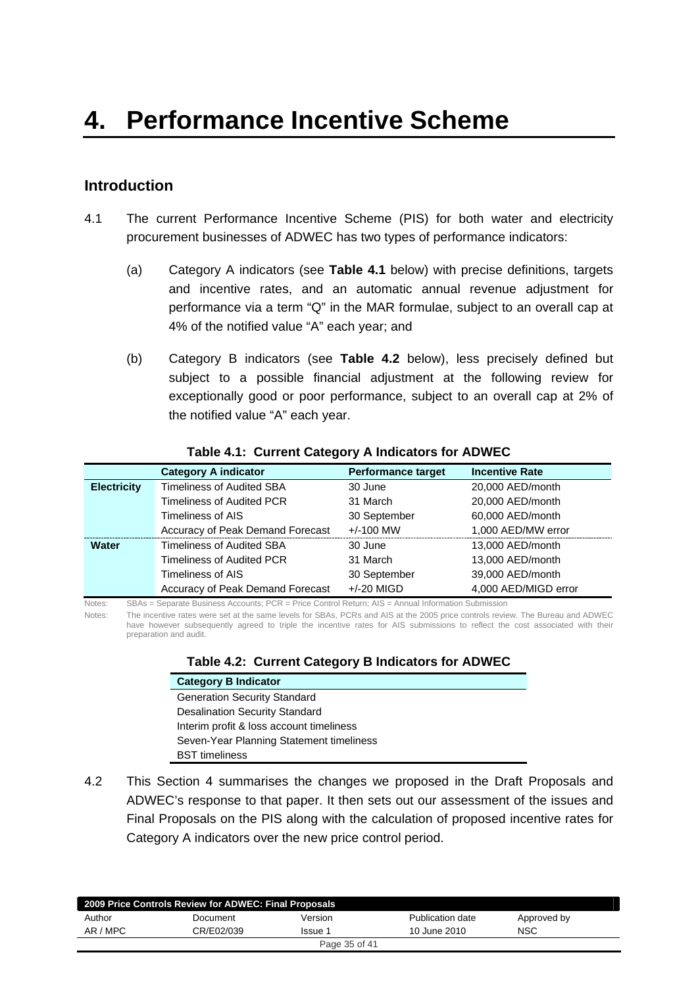# <span id="page-34-0"></span>**Introduction**

- 4.1 The current Performance Incentive Scheme (PIS) for both water and electricity procurement businesses of ADWEC has two types of performance indicators:
	- (a) Category A indicators (see **Table 4.1** below) with precise definitions, targets and incentive rates, and an automatic annual revenue adjustment for performance via a term "Q" in the MAR formulae, subject to an overall cap at 4% of the notified value "A" each year; and
	- (b) Category B indicators (see **Table 4.2** below), less precisely defined but subject to a possible financial adjustment at the following review for exceptionally good or poor performance, subject to an overall cap at 2% of the notified value "A" each year.

|                    | <b>Category A indicator</b>      | <b>Performance target</b> | <b>Incentive Rate</b> |
|--------------------|----------------------------------|---------------------------|-----------------------|
| <b>Electricity</b> | <b>Timeliness of Audited SBA</b> | 30 June                   | 20,000 AED/month      |
|                    | Timeliness of Audited PCR        | 31 March                  | 20,000 AED/month      |
|                    | Timeliness of AIS                | 30 September              | 60,000 AED/month      |
|                    | Accuracy of Peak Demand Forecast | $+/-100$ MW               | 1,000 AED/MW error    |
| <b>Water</b>       | <b>Timeliness of Audited SBA</b> | 30 June                   | 13,000 AED/month      |
|                    | Timeliness of Audited PCR        | 31 March                  | 13,000 AED/month      |
|                    | Timeliness of AIS                | 30 September              | 39,000 AED/month      |
|                    | Accuracy of Peak Demand Forecast | $+/-20$ MIGD              | 4,000 AED/MIGD error  |

#### **Table 4.1: Current Category A Indicators for ADWEC**

Notes: SBAs = Separate Business Accounts; PCR = Price Control Return; AIS = Annual Information Submission

Notes: The incentive rates were set at the same levels for SBAs, PCRs and AIS at the 2005 price controls review. The Bureau and ADWEC have however subsequently agreed to triple the incentive rates for AIS submissions to reflect the cost associated with their preparation and audit.

| Table 4.2: Current Category B Indicators for ADWEC |  |  |  |  |  |  |
|----------------------------------------------------|--|--|--|--|--|--|
|----------------------------------------------------|--|--|--|--|--|--|

| <b>Category B Indicator</b>              |
|------------------------------------------|
| <b>Generation Security Standard</b>      |
| <b>Desalination Security Standard</b>    |
| Interim profit & loss account timeliness |
| Seven-Year Planning Statement timeliness |
| <b>BST</b> timeliness                    |

4.2 This Section 4 summarises the changes we proposed in the Draft Proposals and ADWEC's response to that paper. It then sets out our assessment of the issues and Final Proposals on the PIS along with the calculation of proposed incentive rates for Category A indicators over the new price control period.

|               | 2009 Price Controls Review for ADWEC: Final Proposals |         |                  |             |  |
|---------------|-------------------------------------------------------|---------|------------------|-------------|--|
| Author        | Document                                              | Version | Publication date | Approved by |  |
| AR / MPC      | CR/E02/039                                            | Issue 1 | 10 June 2010     | <b>NSC</b>  |  |
| Page 35 of 41 |                                                       |         |                  |             |  |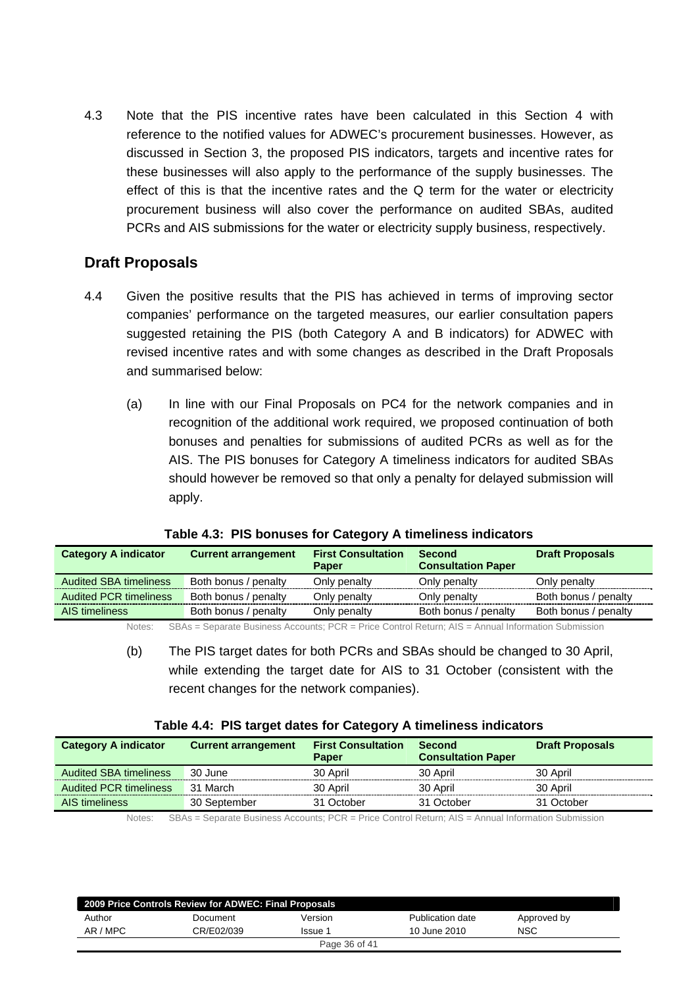<span id="page-35-0"></span>4.3 Note that the PIS incentive rates have been calculated in this Section 4 with reference to the notified values for ADWEC's procurement businesses. However, as discussed in Section 3, the proposed PIS indicators, targets and incentive rates for these businesses will also apply to the performance of the supply businesses. The effect of this is that the incentive rates and the Q term for the water or electricity procurement business will also cover the performance on audited SBAs, audited PCRs and AIS submissions for the water or electricity supply business, respectively.

# **Draft Proposals**

- 4.4 Given the positive results that the PIS has achieved in terms of improving sector companies' performance on the targeted measures, our earlier consultation papers suggested retaining the PIS (both Category A and B indicators) for ADWEC with revised incentive rates and with some changes as described in the Draft Proposals and summarised below:
	- (a) In line with our Final Proposals on PC4 for the network companies and in recognition of the additional work required, we proposed continuation of both bonuses and penalties for submissions of audited PCRs as well as for the AIS. The PIS bonuses for Category A timeliness indicators for audited SBAs should however be removed so that only a penalty for delayed submission will apply.

| <b>Category A indicator</b>   | <b>Current arrangement</b> | <b>First Consultation</b> | <b>Second</b>             | <b>Draft Proposals</b> |
|-------------------------------|----------------------------|---------------------------|---------------------------|------------------------|
|                               |                            | <b>Paper</b>              | <b>Consultation Paper</b> |                        |
| <b>Audited SBA timeliness</b> | Both bonus / penalty       | Only penalty              | Only penalty              | Only penalty           |
| <b>Audited PCR timeliness</b> | Both bonus / penalty       | Only penalty              | Only penalty              | Both bonus / penalty   |
| AIS timeliness                | Both bonus / penalty       | Only penalty              | Both bonus / penalty      | Both bonus / penalty   |

**Table 4.3: PIS bonuses for Category A timeliness indicators** 

Notes: SBAs = Separate Business Accounts; PCR = Price Control Return; AIS = Annual Information Submission

(b) The PIS target dates for both PCRs and SBAs should be changed to 30 April, while extending the target date for AIS to 31 October (consistent with the recent changes for the network companies).

|  |  | Table 4.4: PIS target dates for Category A timeliness indicators |  |
|--|--|------------------------------------------------------------------|--|
|--|--|------------------------------------------------------------------|--|

| <b>Category A indicator</b>   | <b>Current arrangement</b>                                                                               | <b>First Consultation</b><br><b>Paper</b> | <b>Second</b><br><b>Consultation Paper</b> | <b>Draft Proposals</b> |
|-------------------------------|----------------------------------------------------------------------------------------------------------|-------------------------------------------|--------------------------------------------|------------------------|
| <b>Audited SBA timeliness</b> | 30 June                                                                                                  | 30 April                                  | 30 April                                   | 30 April               |
| <b>Audited PCR timeliness</b> | 31 March                                                                                                 | 30 April                                  | 30 April                                   | 30 April               |
| AIS timeliness                | 30 September                                                                                             | 31 October                                | 31 October                                 | 31 October             |
| $N \sim + \sim \sim$          | $CDA_2 =$ Caparato Puginese Assembly $DCD =$ Drice Captral Deturn: $AIC =$ Annual Information Cubmission |                                           |                                            |                        |

Notes: SBAs = Separate Business Accounts; PCR = Price Control Return; AIS = Annual Information Submission

|          | 2009 Price Controls Review for ADWEC: Final Proposals |               |                  |             |
|----------|-------------------------------------------------------|---------------|------------------|-------------|
| Author   | Document                                              | Version       | Publication date | Approved by |
| AR / MPC | CR/E02/039                                            | Issue 1       | 10 June 2010     | <b>NSC</b>  |
|          |                                                       | Page 36 of 41 |                  |             |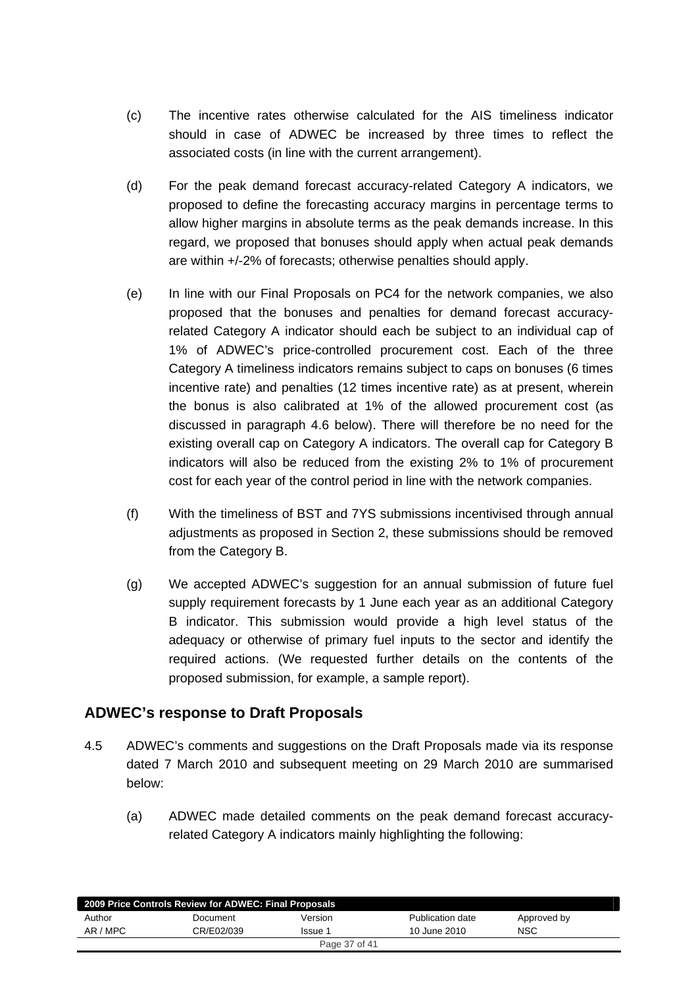- <span id="page-36-0"></span>(c) The incentive rates otherwise calculated for the AIS timeliness indicator should in case of ADWEC be increased by three times to reflect the associated costs (in line with the current arrangement).
- (d) For the peak demand forecast accuracy-related Category A indicators, we proposed to define the forecasting accuracy margins in percentage terms to allow higher margins in absolute terms as the peak demands increase. In this regard, we proposed that bonuses should apply when actual peak demands are within +/-2% of forecasts; otherwise penalties should apply.
- (e) In line with our Final Proposals on PC4 for the network companies, we also proposed that the bonuses and penalties for demand forecast accuracyrelated Category A indicator should each be subject to an individual cap of 1% of ADWEC's price-controlled procurement cost. Each of the three Category A timeliness indicators remains subject to caps on bonuses (6 times incentive rate) and penalties (12 times incentive rate) as at present, wherein the bonus is also calibrated at 1% of the allowed procurement cost (as discussed in paragraph 4.6 below). There will therefore be no need for the existing overall cap on Category A indicators. The overall cap for Category B indicators will also be reduced from the existing 2% to 1% of procurement cost for each year of the control period in line with the network companies.
- (f) With the timeliness of BST and 7YS submissions incentivised through annual adjustments as proposed in Section 2, these submissions should be removed from the Category B.
- (g) We accepted ADWEC's suggestion for an annual submission of future fuel supply requirement forecasts by 1 June each year as an additional Category B indicator. This submission would provide a high level status of the adequacy or otherwise of primary fuel inputs to the sector and identify the required actions. (We requested further details on the contents of the proposed submission, for example, a sample report).

# **ADWEC's response to Draft Proposals**

- 4.5 ADWEC's comments and suggestions on the Draft Proposals made via its response dated 7 March 2010 and subsequent meeting on 29 March 2010 are summarised below:
	- (a) ADWEC made detailed comments on the peak demand forecast accuracyrelated Category A indicators mainly highlighting the following:

| 2009 Price Controls Review for ADWEC: Final Proposals |            |         |                  |             |  |
|-------------------------------------------------------|------------|---------|------------------|-------------|--|
| Author                                                | Document   | Version | Publication date | Approved by |  |
| AR / MPC                                              | CR/E02/039 | Issue 1 | 10 June 2010     | <b>NSC</b>  |  |
| Page 37 of 41                                         |            |         |                  |             |  |
|                                                       |            |         |                  |             |  |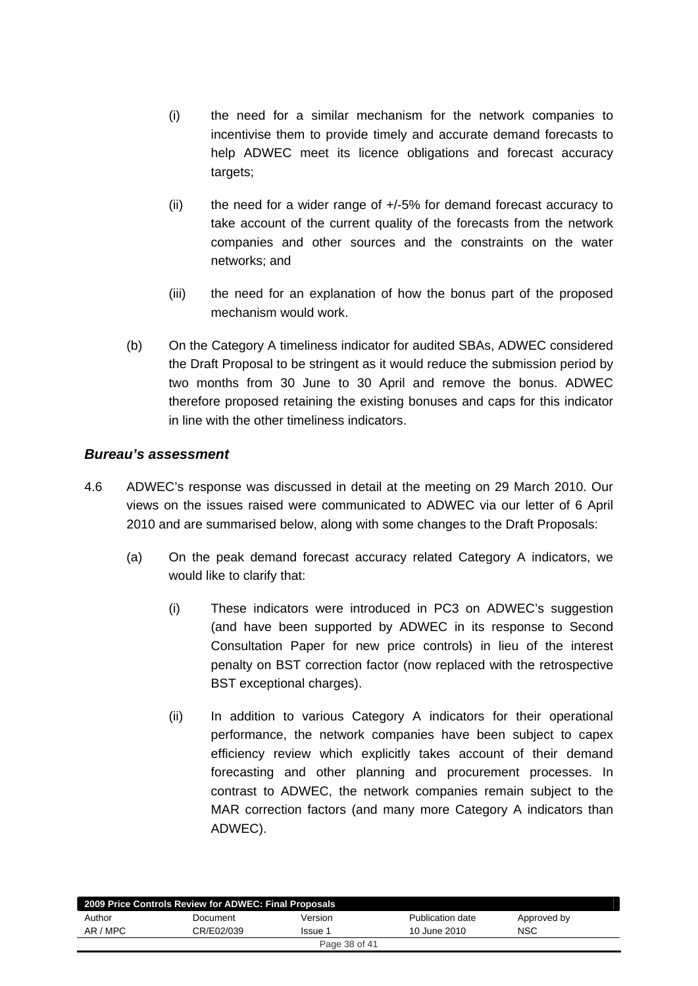- (i) the need for a similar mechanism for the network companies to incentivise them to provide timely and accurate demand forecasts to help ADWEC meet its licence obligations and forecast accuracy targets;
- (ii) the need for a wider range of +/-5% for demand forecast accuracy to take account of the current quality of the forecasts from the network companies and other sources and the constraints on the water networks; and
- (iii) the need for an explanation of how the bonus part of the proposed mechanism would work.
- (b) On the Category A timeliness indicator for audited SBAs, ADWEC considered the Draft Proposal to be stringent as it would reduce the submission period by two months from 30 June to 30 April and remove the bonus. ADWEC therefore proposed retaining the existing bonuses and caps for this indicator in line with the other timeliness indicators.

## *Bureau's assessment*

- 4.6 ADWEC's response was discussed in detail at the meeting on 29 March 2010. Our views on the issues raised were communicated to ADWEC via our letter of 6 April 2010 and are summarised below, along with some changes to the Draft Proposals:
	- (a) On the peak demand forecast accuracy related Category A indicators, we would like to clarify that:
		- (i) These indicators were introduced in PC3 on ADWEC's suggestion (and have been supported by ADWEC in its response to Second Consultation Paper for new price controls) in lieu of the interest penalty on BST correction factor (now replaced with the retrospective BST exceptional charges).
		- (ii) In addition to various Category A indicators for their operational performance, the network companies have been subject to capex efficiency review which explicitly takes account of their demand forecasting and other planning and procurement processes. In contrast to ADWEC, the network companies remain subject to the MAR correction factors (and many more Category A indicators than ADWEC).

| 2009 Price Controls Review for ADWEC: Final Proposals |            |         |                  |             |  |  |
|-------------------------------------------------------|------------|---------|------------------|-------------|--|--|
| Author                                                | Document   | Version | Publication date | Approved by |  |  |
| AR / MPC                                              | CR/E02/039 | Issue 1 | 10 June 2010     | <b>NSC</b>  |  |  |
| Page 38 of 41                                         |            |         |                  |             |  |  |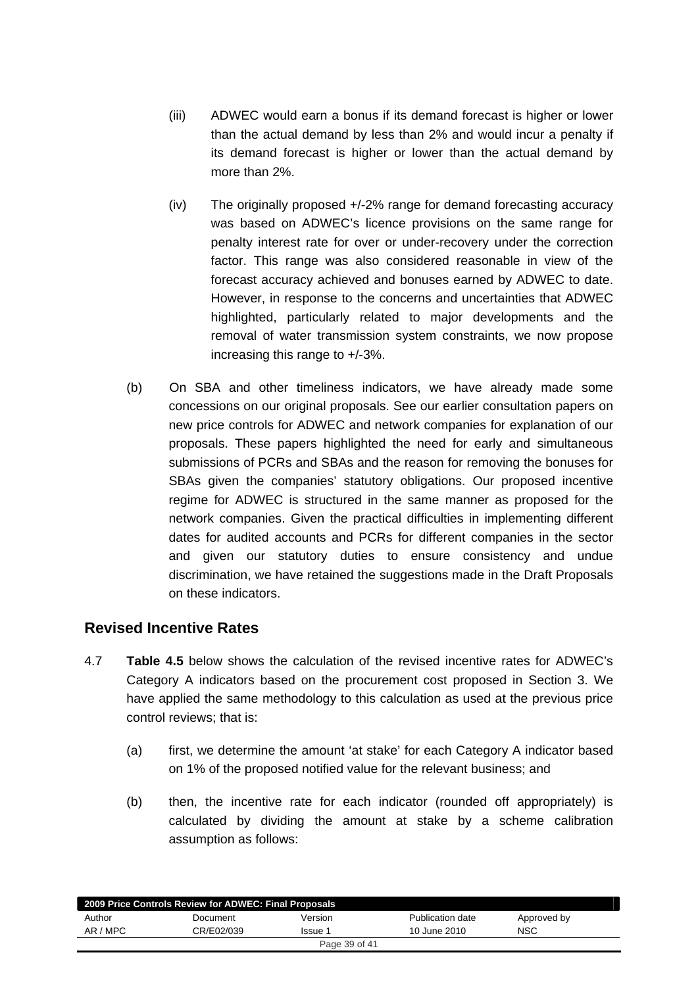- <span id="page-38-0"></span>(iii) ADWEC would earn a bonus if its demand forecast is higher or lower than the actual demand by less than 2% and would incur a penalty if its demand forecast is higher or lower than the actual demand by more than 2%.
- (iv) The originally proposed +/-2% range for demand forecasting accuracy was based on ADWEC's licence provisions on the same range for penalty interest rate for over or under-recovery under the correction factor. This range was also considered reasonable in view of the forecast accuracy achieved and bonuses earned by ADWEC to date. However, in response to the concerns and uncertainties that ADWEC highlighted, particularly related to major developments and the removal of water transmission system constraints, we now propose increasing this range to +/-3%.
- (b) On SBA and other timeliness indicators, we have already made some concessions on our original proposals. See our earlier consultation papers on new price controls for ADWEC and network companies for explanation of our proposals. These papers highlighted the need for early and simultaneous submissions of PCRs and SBAs and the reason for removing the bonuses for SBAs given the companies' statutory obligations. Our proposed incentive regime for ADWEC is structured in the same manner as proposed for the network companies. Given the practical difficulties in implementing different dates for audited accounts and PCRs for different companies in the sector and given our statutory duties to ensure consistency and undue discrimination, we have retained the suggestions made in the Draft Proposals on these indicators.

# **Revised Incentive Rates**

- 4.7 **Table 4.5** below shows the calculation of the revised incentive rates for ADWEC's Category A indicators based on the procurement cost proposed in Section 3. We have applied the same methodology to this calculation as used at the previous price control reviews; that is:
	- (a) first, we determine the amount 'at stake' for each Category A indicator based on 1% of the proposed notified value for the relevant business; and
	- (b) then, the incentive rate for each indicator (rounded off appropriately) is calculated by dividing the amount at stake by a scheme calibration assumption as follows:

|               | 2009 Price Controls Review for ADWEC: Final Proposals |         |                  |             |  |  |
|---------------|-------------------------------------------------------|---------|------------------|-------------|--|--|
| Author        | Document                                              | Version | Publication date | Approved by |  |  |
| AR / MPC      | CR/E02/039                                            | Issue 1 | 10 June 2010     | <b>NSC</b>  |  |  |
| Page 39 of 41 |                                                       |         |                  |             |  |  |
|               |                                                       |         |                  |             |  |  |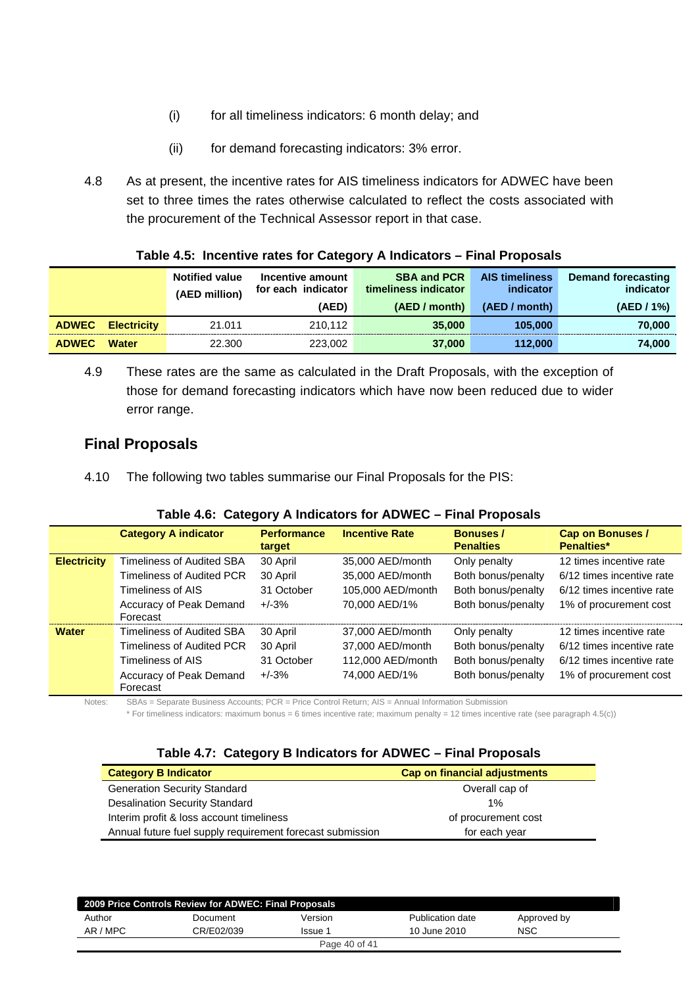- (i) for all timeliness indicators: 6 month delay; and
- (ii) for demand forecasting indicators: 3% error.
- <span id="page-39-0"></span>4.8 As at present, the incentive rates for AIS timeliness indicators for ADWEC have been set to three times the rates otherwise calculated to reflect the costs associated with the procurement of the Technical Assessor report in that case.

|              |                    | <b>Notified value</b><br>(AED million) | Incentive amount<br>for each indicator | <b>SBA and PCR</b><br>timeliness indicator | <b>AIS timeliness</b><br>indicator | Demand forecasting<br>indicator |  |
|--------------|--------------------|----------------------------------------|----------------------------------------|--------------------------------------------|------------------------------------|---------------------------------|--|
|              |                    |                                        | (AED)                                  | (AED / month)                              | (AED / month)                      | (AED / 1%)                      |  |
| <b>ADWEC</b> | <b>Electricity</b> | 21.011                                 | 210.112                                | 35,000                                     | 105,000                            | 70.000                          |  |
| <b>ADWEC</b> | <b>Water</b>       | 22.300                                 | 223,002                                | 37,000                                     | 112.000                            | 74,000                          |  |

#### **Table 4.5: Incentive rates for Category A Indicators – Final Proposals**

4.9 These rates are the same as calculated in the Draft Proposals, with the exception of those for demand forecasting indicators which have now been reduced due to wider error range.

## **Final Proposals**

4.10 The following two tables summarise our Final Proposals for the PIS:

|  |  |  |  | Table 4.6: Category A Indicators for ADWEC - Final Proposals |
|--|--|--|--|--------------------------------------------------------------|
|--|--|--|--|--------------------------------------------------------------|

|                    | <b>Category A indicator</b>         | <b>Performance</b><br>target | <b>Incentive Rate</b> | <b>Bonuses /</b><br><b>Penalties</b> | Cap on Bonuses /<br><b>Penalties*</b> |
|--------------------|-------------------------------------|------------------------------|-----------------------|--------------------------------------|---------------------------------------|
| <b>Electricity</b> | <b>Timeliness of Audited SBA</b>    | 30 April                     | 35,000 AED/month      | Only penalty                         | 12 times incentive rate               |
|                    | Timeliness of Audited PCR           | 30 April                     | 35,000 AED/month      | Both bonus/penalty                   | 6/12 times incentive rate             |
|                    | Timeliness of AIS                   | 31 October                   | 105,000 AED/month     | Both bonus/penalty                   | 6/12 times incentive rate             |
|                    | Accuracy of Peak Demand<br>Forecast | $+/-3%$                      | 70,000 AED/1%         | Both bonus/penalty                   | 1% of procurement cost                |
| <b>Water</b>       | Timeliness of Audited SBA           | 30 April                     | 37,000 AED/month      | Only penalty                         | 12 times incentive rate               |
|                    | Timeliness of Audited PCR           | 30 April                     | 37,000 AED/month      | Both bonus/penalty                   | 6/12 times incentive rate             |
|                    | Timeliness of AIS                   | 31 October                   | 112,000 AED/month     | Both bonus/penalty                   | 6/12 times incentive rate             |
|                    | Accuracy of Peak Demand<br>Forecast | $+/-3%$                      | 74,000 AED/1%         | Both bonus/penalty                   | 1% of procurement cost                |

Notes: SBAs = Separate Business Accounts; PCR = Price Control Return; AIS = Annual Information Submission

\* For timeliness indicators: maximum bonus = 6 times incentive rate; maximum penalty = 12 times incentive rate (see paragraph 4.5(c))

|  |  |  |  | Table 4.7: Category B Indicators for ADWEC - Final Proposals |
|--|--|--|--|--------------------------------------------------------------|
|--|--|--|--|--------------------------------------------------------------|

| <b>Category B Indicator</b>                               | Cap on financial adjustments |
|-----------------------------------------------------------|------------------------------|
| <b>Generation Security Standard</b>                       | Overall cap of               |
| <b>Desalination Security Standard</b>                     | 1%                           |
| Interim profit & loss account timeliness                  | of procurement cost          |
| Annual future fuel supply requirement forecast submission | for each year                |

| 2009 Price Controls Review for ADWEC: Final Proposals |            |               |                  |             |  |  |
|-------------------------------------------------------|------------|---------------|------------------|-------------|--|--|
| Author                                                | Document   | Version       | Publication date | Approved by |  |  |
| AR / MPC                                              | CR/E02/039 | Issue 1       | 10 June 2010     | <b>NSC</b>  |  |  |
|                                                       |            | Page 40 of 41 |                  |             |  |  |